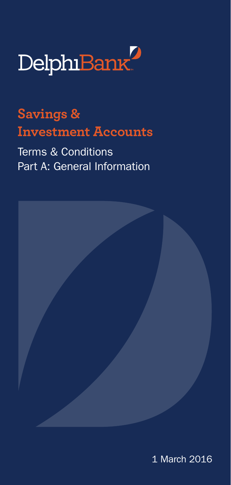

**Savings & Investment Accounts**

Terms & Conditions Part A: General Information



1 March 2016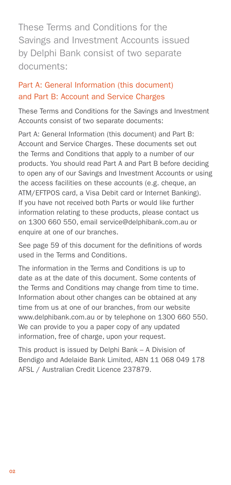These Terms and Conditions for the Savings and Investment Accounts issued by Delphi Bank consist of two separate documents:

#### Part A: General Information (this document) and Part B: Account and Service Charges

These Terms and Conditions for the Savings and Investment Accounts consist of two separate documents:

Part A: General Information (this document) and Part B: Account and Service Charges. These documents set out the Terms and Conditions that apply to a number of our products. You should read Part A and Part B before deciding to open any of our Savings and Investment Accounts or using the access facilities on these accounts (e.g. cheque, an ATM/EFTPOS card, a Visa Debit card or Internet Banking). If you have not received both Parts or would like further information relating to these products, please contact us on 1300 660 550, email service@delphibank.com.au or enquire at one of our branches.

See page 59 of this document for the definitions of words used in the Terms and Conditions.

The information in the Terms and Conditions is up to date as at the date of this document. Some contents of the Terms and Conditions may change from time to time. Information about other changes can be obtained at any time from us at one of our branches, from our website www.delphibank.com.au or by telephone on 1300 660 550. We can provide to you a paper copy of any updated information, free of charge, upon your request.

This product is issued by Delphi Bank – A Division of Bendigo and Adelaide Bank Limited, ABN 11 068 049 178 AFSL / Australian Credit Licence 237879.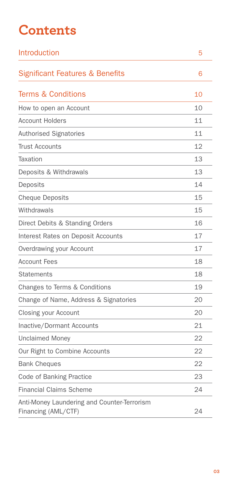# **Contents**

| Introduction                                                       | 5  |
|--------------------------------------------------------------------|----|
| <b>Significant Features &amp; Benefits</b>                         | 6  |
| <b>Terms &amp; Conditions</b>                                      | 10 |
| How to open an Account                                             | 10 |
| <b>Account Holders</b>                                             | 11 |
| Authorised Signatories                                             | 11 |
| <b>Trust Accounts</b>                                              | 12 |
| Taxation                                                           | 13 |
| Deposits & Withdrawals                                             | 13 |
| Deposits                                                           | 14 |
| <b>Cheque Deposits</b>                                             | 15 |
| Withdrawals                                                        | 15 |
| Direct Debits & Standing Orders                                    | 16 |
| <b>Interest Rates on Deposit Accounts</b>                          | 17 |
| Overdrawing your Account                                           | 17 |
| <b>Account Fees</b>                                                | 18 |
| <b>Statements</b>                                                  | 18 |
| Changes to Terms & Conditions                                      | 19 |
| Change of Name, Address & Signatories                              | 20 |
| Closing your Account                                               | 20 |
| Inactive/Dormant Accounts                                          | 21 |
| <b>Unclaimed Money</b>                                             | 22 |
| Our Right to Combine Accounts                                      | 22 |
| <b>Bank Cheques</b>                                                | 22 |
| Code of Banking Practice                                           | 23 |
| <b>Financial Claims Scheme</b>                                     | 24 |
| Anti-Money Laundering and Counter-Terrorism<br>Financing (AML/CTF) | 24 |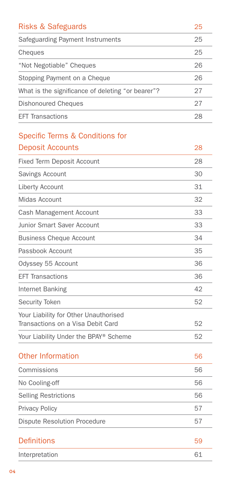| <b>Risks &amp; Safeguards</b>                     | 25 |
|---------------------------------------------------|----|
| Safeguarding Payment Instruments                  | 25 |
| Cheques                                           | 25 |
| "Not Negotiable" Cheques                          | 26 |
| Stopping Payment on a Cheque                      | 26 |
| What is the significance of deleting "or bearer"? | 27 |
| Dishonoured Cheques                               | 27 |
| <b>EFT Transactions</b>                           | 28 |
|                                                   |    |

#### [Specific Terms & Conditions for](#page-27-0)  Deposit Account

| Deposit Accounts                                                           | 28 |
|----------------------------------------------------------------------------|----|
| <b>Fixed Term Deposit Account</b>                                          | 28 |
| Savings Account                                                            | 30 |
| Liberty Account                                                            | 31 |
| Midas Account                                                              | 32 |
| Cash Management Account                                                    | 33 |
| <b>Junior Smart Saver Account</b>                                          | 33 |
| <b>Business Cheque Account</b>                                             | 34 |
| Passbook Account                                                           | 35 |
| Odyssey 55 Account                                                         | 36 |
| <b>EFT Transactions</b>                                                    | 36 |
| Internet Banking                                                           | 42 |
| Security Token                                                             | 52 |
| Your Liability for Other Unauthorised<br>Transactions on a Visa Debit Card | 52 |
| Your Liability Under the BPAY® Scheme                                      | 52 |
| <b>Other Information</b>                                                   | 56 |
| Commissions                                                                | 56 |
| No Cooling-off                                                             | 56 |
| <b>Selling Restrictions</b>                                                | 56 |
| <b>Privacy Policy</b>                                                      | 57 |
| <b>Dispute Resolution Procedure</b>                                        | 57 |
| <b>Definitions</b>                                                         | 59 |
| Interpretation                                                             | 61 |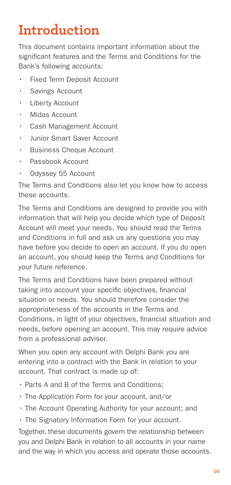# **Introduction**

This document contains important information about the significant features and the Terms and Conditions for the Bank's following accounts:

- **Fixed Term Deposit Account**
- Savings Account
- Liberty Account
- Midas Account
- Cash Management Account
- **Junior Smart Saver Account**
- **Business Cheque Account**
- Passbook Account
- Odyssey 55 Account

The Terms and Conditions also let you know how to access these accounts.

The Terms and Conditions are designed to provide you with information that will help you decide which type of Deposit Account will meet your needs. You should read the Terms and Conditions in full and ask us any questions you may have before you decide to open an account. If you do open an account, you should keep the Terms and Conditions for your future reference.

The Terms and Conditions have been prepared without taking into account your specific objectives, financial situation or needs. You should therefore consider the appropriateness of the accounts in the Terms and Conditions, in light of your objectives, financial situation and needs, before opening an account. This may require advice from a professional adviser.

When you open any account with Delphi Bank you are entering into a contract with the Bank in relation to your account. That contract is made up of:

- Parts A and B of the Terms and Conditions;
- The Application Form for your account, and/or
- The Account Operating Authority for your account; and
- The Signatory Information Form for your account.

Together, these documents govern the relationship between you and Delphi Bank in relation to all accounts in your name and the way in which you access and operate those accounts.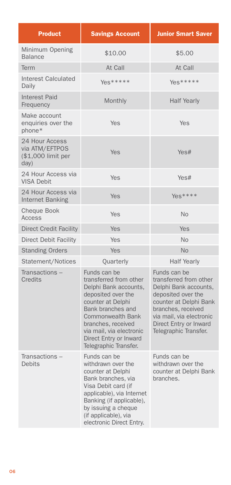| <b>Product</b>                                                 | <b>Savings Account</b>                                                                                                                                                                                                                                    | <b>Junior Smart Saver</b>                                                                                                                                                                                            |
|----------------------------------------------------------------|-----------------------------------------------------------------------------------------------------------------------------------------------------------------------------------------------------------------------------------------------------------|----------------------------------------------------------------------------------------------------------------------------------------------------------------------------------------------------------------------|
| Minimum Opening<br><b>Balance</b>                              | \$10.00                                                                                                                                                                                                                                                   | \$5.00                                                                                                                                                                                                               |
| Term                                                           | At Call                                                                                                                                                                                                                                                   | At Call                                                                                                                                                                                                              |
| <b>Interest Calculated</b><br>Daily                            | Yes*****                                                                                                                                                                                                                                                  | Yes*****                                                                                                                                                                                                             |
| <b>Interest Paid</b><br>Frequency                              | Monthly                                                                                                                                                                                                                                                   | <b>Half Yearly</b>                                                                                                                                                                                                   |
| Make account<br>enquiries over the<br>phone*                   | Yes                                                                                                                                                                                                                                                       | Yes                                                                                                                                                                                                                  |
| 24 Hour Access<br>via ATM/EFTPOS<br>(\$1,000 limit per<br>day) | Yes                                                                                                                                                                                                                                                       | Yes#                                                                                                                                                                                                                 |
| 24 Hour Access via<br><b>VISA Debit</b>                        | Yes                                                                                                                                                                                                                                                       | Yes#                                                                                                                                                                                                                 |
| 24 Hour Access via<br>Internet Banking                         | Yes                                                                                                                                                                                                                                                       | Yes****                                                                                                                                                                                                              |
| <b>Cheque Book</b><br>Access                                   | Yes                                                                                                                                                                                                                                                       | <b>No</b>                                                                                                                                                                                                            |
| <b>Direct Credit Facility</b>                                  | Yes                                                                                                                                                                                                                                                       | Yes                                                                                                                                                                                                                  |
| <b>Direct Debit Facility</b>                                   | Yes                                                                                                                                                                                                                                                       | <b>No</b>                                                                                                                                                                                                            |
| <b>Standing Orders</b>                                         | Yes                                                                                                                                                                                                                                                       | <b>No</b>                                                                                                                                                                                                            |
| Statement/Notices                                              | Quarterly                                                                                                                                                                                                                                                 | <b>Half Yearly</b>                                                                                                                                                                                                   |
| Transactions-<br>Credits                                       | Funds can be<br>transferred from other<br>Delphi Bank accounts,<br>deposited over the<br>counter at Delphi<br>Bank branches and<br>Commonwealth Bank<br>branches, received<br>via mail, via electronic<br>Direct Entry or Inward<br>Telegraphic Transfer. | Funds can be<br>transferred from other<br>Delphi Bank accounts,<br>deposited over the<br>counter at Delphi Bank<br>branches, received<br>via mail, via electronic<br>Direct Entry or Inward<br>Telegraphic Transfer. |
| Transactions -<br><b>Debits</b>                                | Funds can be<br>withdrawn over the<br>counter at Delphi<br>Bank branches, via<br>Visa Debit card (if<br>applicable), via Internet<br>Banking (if applicable),<br>by issuing a cheque<br>(if applicable), via<br>electronic Direct Entry.                  | Funds can be<br>withdrawn over the<br>counter at Delphi Bank<br>branches.                                                                                                                                            |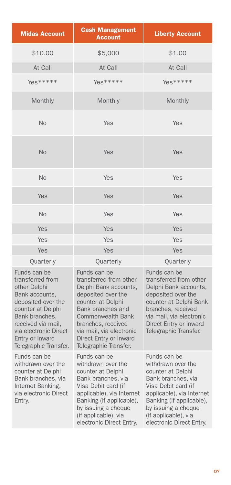| <b>Midas Account</b>                                                                                                                                                                                                       | <b>Cash Management</b><br><b>Account</b>                                                                                                                                                                                                                         | <b>Liberty Account</b>                                                                                                                                                                                                                   |
|----------------------------------------------------------------------------------------------------------------------------------------------------------------------------------------------------------------------------|------------------------------------------------------------------------------------------------------------------------------------------------------------------------------------------------------------------------------------------------------------------|------------------------------------------------------------------------------------------------------------------------------------------------------------------------------------------------------------------------------------------|
| \$10.00                                                                                                                                                                                                                    | \$5,000                                                                                                                                                                                                                                                          | \$1.00                                                                                                                                                                                                                                   |
| At Call                                                                                                                                                                                                                    | At Call                                                                                                                                                                                                                                                          | At Call                                                                                                                                                                                                                                  |
| $Yes****$                                                                                                                                                                                                                  | Yes*****                                                                                                                                                                                                                                                         | Yes*****                                                                                                                                                                                                                                 |
| Monthly                                                                                                                                                                                                                    | Monthly                                                                                                                                                                                                                                                          | Monthly                                                                                                                                                                                                                                  |
| <b>No</b>                                                                                                                                                                                                                  | Yes                                                                                                                                                                                                                                                              | Yes                                                                                                                                                                                                                                      |
| <b>No</b>                                                                                                                                                                                                                  | <b>Yes</b>                                                                                                                                                                                                                                                       | Yes                                                                                                                                                                                                                                      |
| <b>No</b>                                                                                                                                                                                                                  | Yes                                                                                                                                                                                                                                                              | Yes                                                                                                                                                                                                                                      |
| Yes                                                                                                                                                                                                                        | Yes                                                                                                                                                                                                                                                              | Yes                                                                                                                                                                                                                                      |
| <b>No</b>                                                                                                                                                                                                                  | Yes                                                                                                                                                                                                                                                              | Yes                                                                                                                                                                                                                                      |
| Yes                                                                                                                                                                                                                        | Yes                                                                                                                                                                                                                                                              | Yes                                                                                                                                                                                                                                      |
| Yes                                                                                                                                                                                                                        | Yes                                                                                                                                                                                                                                                              | Yes                                                                                                                                                                                                                                      |
| Yes                                                                                                                                                                                                                        | Yes                                                                                                                                                                                                                                                              | <b>Yes</b>                                                                                                                                                                                                                               |
| Quarterly                                                                                                                                                                                                                  | Quarterly                                                                                                                                                                                                                                                        | Quarterly                                                                                                                                                                                                                                |
| Funds can be<br>transferred from<br>other Delphi<br>Bank accounts,<br>deposited over the<br>counter at Delphi<br>Bank branches,<br>received via mail,<br>via electronic Direct<br>Entry or Inward<br>Telegraphic Transfer. | Funds can be<br>transferred from other<br>Delphi Bank accounts,<br>deposited over the<br>counter at Delphi<br>Bank branches and<br><b>Commonwealth Bank</b><br>branches, received<br>via mail, via electronic<br>Direct Entry or Inward<br>Telegraphic Transfer. | Funds can be<br>transferred from other<br>Delphi Bank accounts,<br>deposited over the<br>counter at Delphi Bank<br>branches, received<br>via mail, via electronic<br>Direct Entry or Inward<br>Telegraphic Transfer.                     |
| Funds can be<br>withdrawn over the<br>counter at Delphi<br>Bank branches, via<br>Internet Banking,<br>via electronic Direct<br>Entry.                                                                                      | Funds can be<br>withdrawn over the<br>counter at Delphi<br>Bank branches, via<br>Visa Debit card (if<br>applicable), via Internet<br>Banking (if applicable),<br>by issuing a cheque<br>(if applicable), via<br>electronic Direct Entry.                         | Funds can be<br>withdrawn over the<br>counter at Delphi<br>Bank branches, via<br>Visa Debit card (if<br>applicable), via Internet<br>Banking (if applicable),<br>by issuing a cheque<br>(if applicable), via<br>electronic Direct Entry. |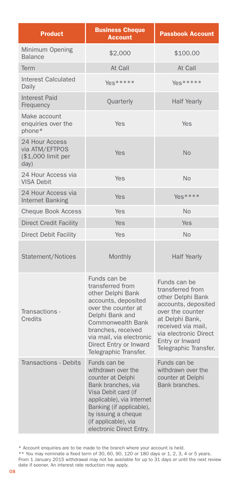| <b>Product</b>                                                 | <b>Business Cheque</b><br><b>Account</b>                                                                                                                                                                                                         | <b>Passbook Account</b>                                                                                                                                                                                        |
|----------------------------------------------------------------|--------------------------------------------------------------------------------------------------------------------------------------------------------------------------------------------------------------------------------------------------|----------------------------------------------------------------------------------------------------------------------------------------------------------------------------------------------------------------|
| Minimum Opening<br><b>Balance</b>                              | \$2,000                                                                                                                                                                                                                                          | \$100.00                                                                                                                                                                                                       |
| Term                                                           | At Call                                                                                                                                                                                                                                          | At Call                                                                                                                                                                                                        |
| <b>Interest Calculated</b><br>Daily                            | Yes*****                                                                                                                                                                                                                                         | Yes*****                                                                                                                                                                                                       |
| <b>Interest Paid</b><br>Frequency                              | Quarterly                                                                                                                                                                                                                                        | <b>Half Yearly</b>                                                                                                                                                                                             |
| Make account<br>enquiries over the<br>phone*                   | Yes                                                                                                                                                                                                                                              | Yes                                                                                                                                                                                                            |
| 24 Hour Access<br>via ATM/EFTPOS<br>(\$1,000 limit per<br>day) | Yes                                                                                                                                                                                                                                              | <b>No</b>                                                                                                                                                                                                      |
| 24 Hour Access via<br><b>VISA Debit</b>                        | Yes                                                                                                                                                                                                                                              | <b>No</b>                                                                                                                                                                                                      |
| 24 Hour Access via<br>Internet Banking                         | Yes                                                                                                                                                                                                                                              | Yes****                                                                                                                                                                                                        |
| Cheque Book Access                                             | Yes                                                                                                                                                                                                                                              | <b>No</b>                                                                                                                                                                                                      |
| <b>Direct Credit Facility</b>                                  | Yes                                                                                                                                                                                                                                              | Yes                                                                                                                                                                                                            |
| <b>Direct Debit Facility</b>                                   | Yes                                                                                                                                                                                                                                              | <b>No</b>                                                                                                                                                                                                      |
| Statement/Notices                                              | Monthly                                                                                                                                                                                                                                          | <b>Half Yearly</b>                                                                                                                                                                                             |
| Transactions -<br>Credits                                      | Funds can be<br>transferred from<br>other Delphi Bank<br>accounts, deposited<br>over the counter at<br>Delphi Bank and<br>Commonwealth Bank<br>branches, received<br>via mail, via electronic<br>Direct Entry or Inward<br>Telegraphic Transfer. | Funds can be<br>transferred from<br>other Delphi Bank<br>accounts, deposited<br>over the counter<br>at Delphi Bank,<br>received via mail,<br>via electronic Direct<br>Entry or Inward<br>Telegraphic Transfer. |
| <b>Transactions - Debits</b>                                   | Funds can be<br>withdrawn over the<br>counter at Delphi<br>Bank branches, via<br>Visa Debit card (if<br>applicable), via Internet<br>Banking (if applicable),<br>by issuing a cheque<br>(if applicable), via<br>electronic Direct Entry.         | Funds can be<br>withdrawn over the<br>counter at Delphi<br>Bank branches.                                                                                                                                      |

\* Account enquiries are to be made to the branch where your account is held. \*\* You may nominate a fixed term of 30, 60, 90, 120 or 180 days or 1, 2, 3, 4 or 5 years.

From 1 January 2015 withdrawal may not be available for up to 31 days or until the next review date if sooner. An interest rate reduction may apply.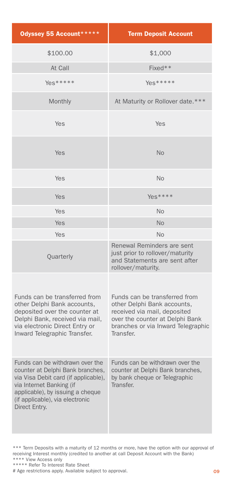| Odyssey 55 Account *****                                                                                                                                                                                                        | <b>Term Deposit Account</b>                                                                                                                                                        |
|---------------------------------------------------------------------------------------------------------------------------------------------------------------------------------------------------------------------------------|------------------------------------------------------------------------------------------------------------------------------------------------------------------------------------|
| \$100.00                                                                                                                                                                                                                        | \$1,000                                                                                                                                                                            |
| At Call                                                                                                                                                                                                                         | Fixed**                                                                                                                                                                            |
| Yes*****                                                                                                                                                                                                                        | $Yes*****$                                                                                                                                                                         |
| Monthly                                                                                                                                                                                                                         | At Maturity or Rollover date.***                                                                                                                                                   |
| Yes                                                                                                                                                                                                                             | Yes                                                                                                                                                                                |
| Yes                                                                                                                                                                                                                             | <b>No</b>                                                                                                                                                                          |
| Yes                                                                                                                                                                                                                             | <b>No</b>                                                                                                                                                                          |
| Yes                                                                                                                                                                                                                             | $Yes***$                                                                                                                                                                           |
| Yes                                                                                                                                                                                                                             | <b>No</b>                                                                                                                                                                          |
| Yes                                                                                                                                                                                                                             | <b>No</b>                                                                                                                                                                          |
| Yes                                                                                                                                                                                                                             | <b>No</b>                                                                                                                                                                          |
| Quarterly                                                                                                                                                                                                                       | Renewal Reminders are sent<br>just prior to rollover/maturity<br>and Statements are sent after<br>rollover/maturity.                                                               |
| Funds can be transferred from<br>other Delphi Bank accounts,<br>deposited over the counter at<br>Delphi Bank, received via mail,<br>via electronic Direct Entry or<br>Inward Telegraphic Transfer.                              | Funds can be transferred from<br>other Delphi Bank accounts,<br>received via mail, deposited<br>over the counter at Delphi Bank<br>branches or via Inward Telegraphic<br>Transfer. |
| Funds can be withdrawn over the<br>counter at Delphi Bank branches,<br>via Visa Debit card (if applicable),<br>via Internet Banking (if<br>applicable), by issuing a cheque<br>(if applicable), via electronic<br>Direct Entry. | Funds can be withdrawn over the<br>counter at Delphi Bank branches,<br>by bank cheque or Telegraphic<br>Transfer.                                                                  |

\*\*\* Term Deposits with a maturity of 12 months or more, have the option with our approval of receiving Interest monthly (credited to another at call Deposit Account with the Bank)

\*\*\*\* View Access only \*\*\*\*\* Refer To Interest Rate Sheet

# Age restrictions apply. Available subject to approval.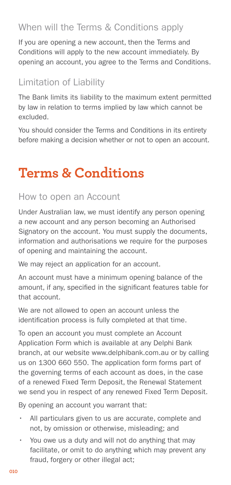# <span id="page-9-0"></span>When will the Terms & Conditions apply

If you are opening a new account, then the Terms and Conditions will apply to the new account immediately. By opening an account, you agree to the Terms and Conditions.

## Limitation of Liability

The Bank limits its liability to the maximum extent permitted by law in relation to terms implied by law which cannot be excluded.

You should consider the Terms and Conditions in its entirety before making a decision whether or not to open an account.

# **Terms & Conditions**

#### How to open an Account

Under Australian law, we must identify any person opening a new account and any person becoming an Authorised Signatory on the account. You must supply the documents, information and authorisations we require for the purposes of opening and maintaining the account.

We may reject an application for an account.

An account must have a minimum opening balance of the amount, if any, specified in the significant features table for that account.

We are not allowed to open an account unless the identification process is fully completed at that time.

To open an account you must complete an Account Application Form which is available at any Delphi Bank branch, at our website www.delphibank.com.au or by calling us on 1300 660 550. The application form forms part of the governing terms of each account as does, in the case of a renewed Fixed Term Deposit, the Renewal Statement we send you in respect of any renewed Fixed Term Deposit.

By opening an account you warrant that:

- • All particulars given to us are accurate, complete and not, by omission or otherwise, misleading; and
- You owe us a duty and will not do anything that may facilitate, or omit to do anything which may prevent any fraud, forgery or other illegal act;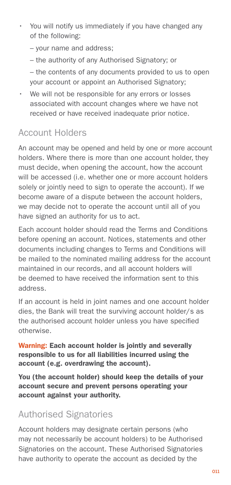- <span id="page-10-0"></span>• You will notify us immediately if you have changed any of the following:
	- your name and address;
	- the authority of any Authorised Signatory; or

– the contents of any documents provided to us to open your account or appoint an Authorised Signatory;

• We will not be responsible for any errors or losses associated with account changes where we have not received or have received inadequate prior notice.

# Account Holders

An account may be opened and held by one or more account holders. Where there is more than one account holder, they must decide, when opening the account, how the account will be accessed (i.e. whether one or more account holders solely or jointly need to sign to operate the account). If we become aware of a dispute between the account holders, we may decide not to operate the account until all of you have signed an authority for us to act.

Each account holder should read the Terms and Conditions before opening an account. Notices, statements and other documents including changes to Terms and Conditions will be mailed to the nominated mailing address for the account maintained in our records, and all account holders will be deemed to have received the information sent to this address.

If an account is held in joint names and one account holder dies, the Bank will treat the surviving account holder/s as the authorised account holder unless you have specified otherwise.

Warning: Each account holder is jointly and severally responsible to us for all liabilities incurred using the account (e.g. overdrawing the account).

You (the account holder) should keep the details of your account secure and prevent persons operating your account against your authority.

# Authorised Signatories

Account holders may designate certain persons (who may not necessarily be account holders) to be Authorised Signatories on the account. These Authorised Signatories have authority to operate the account as decided by the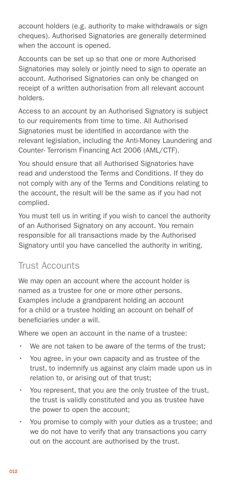<span id="page-11-0"></span>account holders (e.g. authority to make withdrawals or sign cheques). Authorised Signatories are generally determined when the account is opened.

Accounts can be set up so that one or more Authorised Signatories may solely or jointly need to sign to operate an account. Authorised Signatories can only be changed on receipt of a written authorisation from all relevant account holders.

Access to an account by an Authorised Signatory is subject to our requirements from time to time. All Authorised Signatories must be identified in accordance with the relevant legislation, including the Anti-Money Laundering and Counter- Terrorism Financing Act 2006 (AML/CTF).

You should ensure that all Authorised Signatories have read and understood the Terms and Conditions. If they do not comply with any of the Terms and Conditions relating to the account, the result will be the same as if you had not complied.

You must tell us in writing if you wish to cancel the authority of an Authorised Signatory on any account. You remain responsible for all transactions made by the Authorised Signatory until you have cancelled the authority in writing.

# Trust Accounts

We may open an account where the account holder is named as a trustee for one or more other persons. Examples include a grandparent holding an account for a child or a trustee holding an account on behalf of beneficiaries under a will.

Where we open an account in the name of a trustee:

- We are not taken to be aware of the terms of the trust;
- You agree, in your own capacity and as trustee of the trust, to indemnify us against any claim made upon us in relation to, or arising out of that trust;
- You represent, that you are the only trustee of the trust, the trust is validly constituted and you as trustee have the power to open the account;
- You promise to comply with your duties as a trustee; and we do not have to verify that any transactions you carry out on the account are authorised by the trust.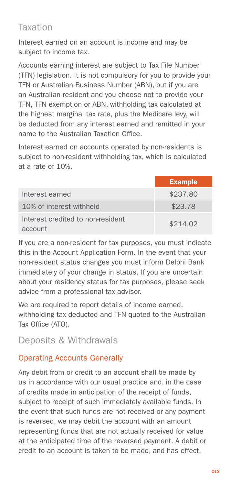# <span id="page-12-0"></span>Taxation

Interest earned on an account is income and may be subject to income tax.

Accounts earning interest are subject to Tax File Number (TFN) legislation. It is not compulsory for you to provide your TFN or Australian Business Number (ABN), but if you are an Australian resident and you choose not to provide your TFN, TFN exemption or ABN, withholding tax calculated at the highest marginal tax rate, plus the Medicare levy, will be deducted from any interest earned and remitted in your name to the Australian Taxation Office.

Interest earned on accounts operated by non-residents is subject to non-resident withholding tax, which is calculated at a rate of 10%.

|                                              | <b>Example</b> |
|----------------------------------------------|----------------|
| Interest earned                              | \$237.80       |
| 10% of interest withheld                     | \$23.78        |
| Interest credited to non-resident<br>account | \$214.02       |

If you are a non-resident for tax purposes, you must indicate this in the Account Application Form. In the event that your non-resident status changes you must inform Delphi Bank immediately of your change in status. If you are uncertain about your residency status for tax purposes, please seek advice from a professional tax advisor.

We are required to report details of income earned, withholding tax deducted and TFN quoted to the Australian Tax Office (ATO).

Deposits & Withdrawals

#### Operating Accounts Generally

Any debit from or credit to an account shall be made by us in accordance with our usual practice and, in the case of credits made in anticipation of the receipt of funds, subject to receipt of such immediately available funds. In the event that such funds are not received or any payment is reversed, we may debit the account with an amount representing funds that are not actually received for value at the anticipated time of the reversed payment. A debit or credit to an account is taken to be made, and has effect,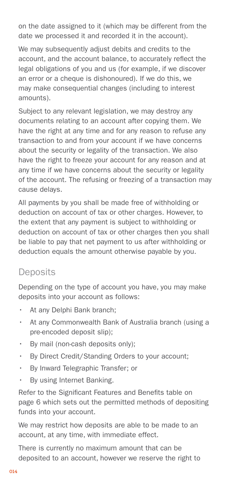<span id="page-13-0"></span>on the date assigned to it (which may be different from the date we processed it and recorded it in the account).

We may subsequently adjust debits and credits to the account, and the account balance, to accurately reflect the legal obligations of you and us (for example, if we discover an error or a cheque is dishonoured). If we do this, we may make consequential changes (including to interest amounts).

Subject to any relevant legislation, we may destroy any documents relating to an account after copying them. We have the right at any time and for any reason to refuse any transaction to and from your account if we have concerns about the security or legality of the transaction. We also have the right to freeze your account for any reason and at any time if we have concerns about the security or legality of the account. The refusing or freezing of a transaction may cause delays.

All payments by you shall be made free of withholding or deduction on account of tax or other charges. However, to the extent that any payment is subject to withholding or deduction on account of tax or other charges then you shall be liable to pay that net payment to us after withholding or deduction equals the amount otherwise payable by you.

# **Deposits**

Depending on the type of account you have, you may make deposits into your account as follows:

- At any Delphi Bank branch;
- At any Commonwealth Bank of Australia branch (using a pre-encoded deposit slip);
- By mail (non-cash deposits only):
- By Direct Credit/Standing Orders to your account;
- By Inward Telegraphic Transfer; or
- $\cdot$  By using Internet Banking.

Refer to the Significant Features and Benefits table on page 6 which sets out the permitted methods of depositing funds into your account.

We may restrict how deposits are able to be made to an account, at any time, with immediate effect.

There is currently no maximum amount that can be deposited to an account, however we reserve the right to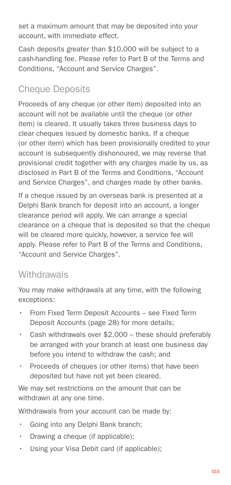<span id="page-14-0"></span>set a maximum amount that may be deposited into your account, with immediate effect.

Cash deposits greater than \$10,000 will be subject to a cash-handling fee. Please refer to Part B of the Terms and Conditions, "Account and Service Charges".

# Cheque Deposits

Proceeds of any cheque (or other item) deposited into an account will not be available until the cheque (or other item) is cleared. It usually takes three business days to clear cheques issued by domestic banks. If a cheque (or other item) which has been provisionally credited to your account is subsequently dishonoured, we may reverse that provisional credit together with any charges made by us, as disclosed in Part B of the Terms and Conditions, "Account and Service Charges", and charges made by other banks.

If a cheque issued by an overseas bank is presented at a Delphi Bank branch for deposit into an account, a longer clearance period will apply. We can arrange a special clearance on a cheque that is deposited so that the cheque will be cleared more quickly, however, a service fee will apply. Please refer to Part B of the Terms and Conditions, "Account and Service Charges".

# **Withdrawals**

You may make withdrawals at any time, with the following exceptions:

- From Fixed Term Deposit Accounts see Fixed Term Deposit Accounts (page 28) for more details;
- Cash withdrawals over  $$2,000 -$  these should preferably be arranged with your branch at least one business day before you intend to withdraw the cash; and
- Proceeds of cheques (or other items) that have been deposited but have not yet been cleared.

We may set restrictions on the amount that can be withdrawn at any one time.

Withdrawals from your account can be made by:

- Going into any Delphi Bank branch;
- Drawing a cheque (if applicable);
- Using your Visa Debit card (if applicable);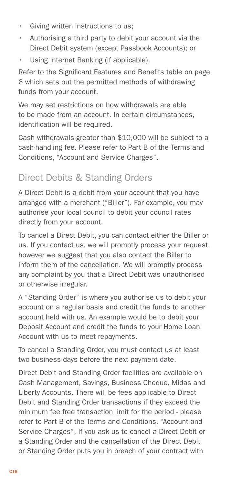- <span id="page-15-0"></span>• Giving written instructions to us;
- Authorising a third party to debit your account via the Direct Debit system (except Passbook Accounts); or
- Using Internet Banking (if applicable).

Refer to the Significant Features and Benefits table on page 6 which sets out the permitted methods of withdrawing funds from your account.

We may set restrictions on how withdrawals are able to be made from an account. In certain circumstances, identification will be required.

Cash withdrawals greater than \$10,000 will be subject to a cash-handling fee. Please refer to Part B of the Terms and Conditions, "Account and Service Charges".

# Direct Debits & Standing Orders

A Direct Debit is a debit from your account that you have arranged with a merchant ("Biller"). For example, you may authorise your local council to debit your council rates directly from your account.

To cancel a Direct Debit, you can contact either the Biller or us. If you contact us, we will promptly process your request, however we suggest that you also contact the Biller to inform them of the cancellation. We will promptly process any complaint by you that a Direct Debit was unauthorised or otherwise irregular.

A "Standing Order" is where you authorise us to debit your account on a regular basis and credit the funds to another account held with us. An example would be to debit your Deposit Account and credit the funds to your Home Loan Account with us to meet repayments.

To cancel a Standing Order, you must contact us at least two business days before the next payment date.

Direct Debit and Standing Order facilities are available on Cash Management, Savings, Business Cheque, Midas and Liberty Accounts. There will be fees applicable to Direct Debit and Standing Order transactions if they exceed the minimum fee free transaction limit for the period - please refer to Part B of the Terms and Conditions, "Account and Service Charges". If you ask us to cancel a Direct Debit or a Standing Order and the cancellation of the Direct Debit or Standing Order puts you in breach of your contract with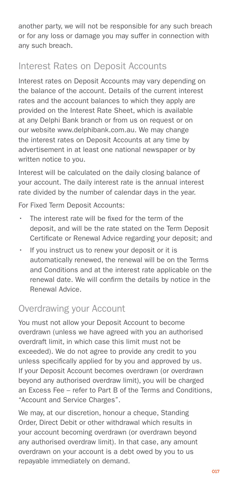<span id="page-16-0"></span>another party, we will not be responsible for any such breach or for any loss or damage you may suffer in connection with any such breach.

# Interest Rates on Deposit Accounts

Interest rates on Deposit Accounts may vary depending on the balance of the account. Details of the current interest rates and the account balances to which they apply are provided on the Interest Rate Sheet, which is available at any Delphi Bank branch or from us on request or on our website www.delphibank.com.au. We may change the interest rates on Deposit Accounts at any time by advertisement in at least one national newspaper or by written notice to you.

Interest will be calculated on the daily closing balance of your account. The daily interest rate is the annual interest rate divided by the number of calendar days in the year.

For Fixed Term Deposit Accounts:

- The interest rate will be fixed for the term of the deposit, and will be the rate stated on the Term Deposit Certificate or Renewal Advice regarding your deposit; and
- If you instruct us to renew your deposit or it is automatically renewed, the renewal will be on the Terms and Conditions and at the interest rate applicable on the renewal date. We will confirm the details by notice in the Renewal Advice.

# Overdrawing your Account

You must not allow your Deposit Account to become overdrawn (unless we have agreed with you an authorised overdraft limit, in which case this limit must not be exceeded). We do not agree to provide any credit to you unless specifically applied for by you and approved by us. If your Deposit Account becomes overdrawn (or overdrawn beyond any authorised overdraw limit), you will be charged an Excess Fee – refer to Part B of the Terms and Conditions, "Account and Service Charges".

We may, at our discretion, honour a cheque, Standing Order, Direct Debit or other withdrawal which results in your account becoming overdrawn (or overdrawn beyond any authorised overdraw limit). In that case, any amount overdrawn on your account is a debt owed by you to us repayable immediately on demand.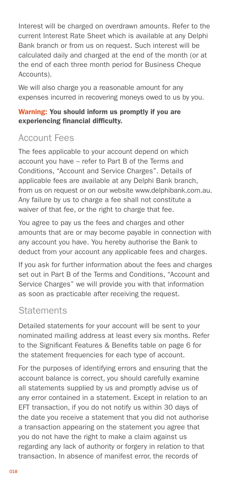<span id="page-17-0"></span>Interest will be charged on overdrawn amounts. Refer to the current Interest Rate Sheet which is available at any Delphi Bank branch or from us on request. Such interest will be calculated daily and charged at the end of the month (or at the end of each three month period for Business Cheque Accounts).

We will also charge you a reasonable amount for any expenses incurred in recovering moneys owed to us by you.

#### Warning: You should inform us promptly if you are experiencing financial difficulty.

## Account Fees

The fees applicable to your account depend on which account you have – refer to Part B of the Terms and Conditions, "Account and Service Charges". Details of applicable fees are available at any Delphi Bank branch, from us on request or on our website www.delphibank.com.au. Any failure by us to charge a fee shall not constitute a waiver of that fee, or the right to charge that fee.

You agree to pay us the fees and charges and other amounts that are or may become payable in connection with any account you have. You hereby authorise the Bank to deduct from your account any applicable fees and charges.

If you ask for further information about the fees and charges set out in Part B of the Terms and Conditions, "Account and Service Charges" we will provide you with that information as soon as practicable after receiving the request.

#### **Statements**

Detailed statements for your account will be sent to your nominated mailing address at least every six months. Refer to the Significant Features & Benefits table on page 6 for the statement frequencies for each type of account.

For the purposes of identifying errors and ensuring that the account balance is correct, you should carefully examine all statements supplied by us and promptly advise us of any error contained in a statement. Except in relation to an EFT transaction, if you do not notify us within 30 days of the date you receive a statement that you did not authorise a transaction appearing on the statement you agree that you do not have the right to make a claim against us regarding any lack of authority or forgery in relation to that transaction. In absence of manifest error, the records of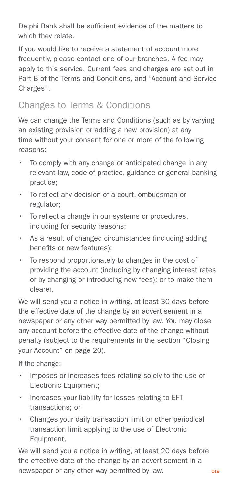<span id="page-18-0"></span>Delphi Bank shall be sufficient evidence of the matters to which they relate.

If you would like to receive a statement of account more frequently, please contact one of our branches. A fee may apply to this service. Current fees and charges are set out in Part B of the Terms and Conditions, and "Account and Service Charges".

# Changes to Terms & Conditions

We can change the Terms and Conditions (such as by varying an existing provision or adding a new provision) at any time without your consent for one or more of the following reasons:

- To comply with any change or anticipated change in any relevant law, code of practice, guidance or general banking practice;
- To reflect any decision of a court, ombudsman or regulator;
- To reflect a change in our systems or procedures. including for security reasons;
- As a result of changed circumstances (including adding benefits or new features);
- To respond proportionately to changes in the cost of providing the account (including by changing interest rates or by changing or introducing new fees); or to make them clearer,

We will send you a notice in writing, at least 30 days before the effective date of the change by an advertisement in a newspaper or any other way permitted by law. You may close any account before the effective date of the change without penalty (subject to the requirements in the section "Closing your Account" on page 20).

If the change:

- Imposes or increases fees relating solely to the use of Electronic Equipment;
- Increases your liability for losses relating to EFT transactions; or
- Changes your daily transaction limit or other periodical transaction limit applying to the use of Electronic Equipment,

We will send you a notice in writing, at least 20 days before the effective date of the change by an advertisement in a newspaper or any other way permitted by law.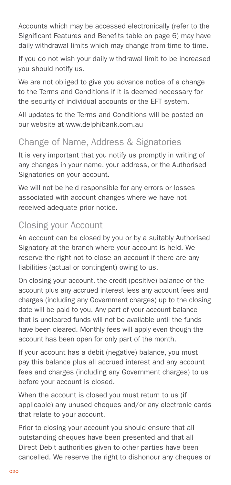<span id="page-19-0"></span>Accounts which may be accessed electronically (refer to the Significant Features and Benefits table on page 6) may have daily withdrawal limits which may change from time to time.

If you do not wish your daily withdrawal limit to be increased you should notify us.

We are not obliged to give you advance notice of a change to the Terms and Conditions if it is deemed necessary for the security of individual accounts or the EFT system.

All updates to the Terms and Conditions will be posted on our website at www.delphibank.com.au

# Change of Name, Address & Signatories

It is very important that you notify us promptly in writing of any changes in your name, your address, or the Authorised Signatories on your account.

We will not be held responsible for any errors or losses associated with account changes where we have not received adequate prior notice.

# Closing your Account

An account can be closed by you or by a suitably Authorised Signatory at the branch where your account is held. We reserve the right not to close an account if there are any liabilities (actual or contingent) owing to us.

On closing your account, the credit (positive) balance of the account plus any accrued interest less any account fees and charges (including any Government charges) up to the closing date will be paid to you. Any part of your account balance that is uncleared funds will not be available until the funds have been cleared. Monthly fees will apply even though the account has been open for only part of the month.

If your account has a debit (negative) balance, you must pay this balance plus all accrued interest and any account fees and charges (including any Government charges) to us before your account is closed.

When the account is closed you must return to us (if applicable) any unused cheques and/or any electronic cards that relate to your account.

Prior to closing your account you should ensure that all outstanding cheques have been presented and that all Direct Debit authorities given to other parties have been cancelled. We reserve the right to dishonour any cheques or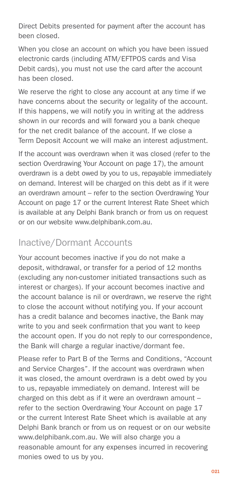<span id="page-20-0"></span>Direct Debits presented for payment after the account has been closed.

When you close an account on which you have been issued electronic cards (including ATM/EFTPOS cards and Visa Debit cards), you must not use the card after the account has been closed.

We reserve the right to close any account at any time if we have concerns about the security or legality of the account. If this happens, we will notify you in writing at the address shown in our records and will forward you a bank cheque for the net credit balance of the account. If we close a Term Deposit Account we will make an interest adjustment.

If the account was overdrawn when it was closed (refer to the section Overdrawing Your Account on page 17), the amount overdrawn is a debt owed by you to us, repayable immediately on demand. Interest will be charged on this debt as if it were an overdrawn amount – refer to the section Overdrawing Your Account on page 17 or the current Interest Rate Sheet which is available at any Delphi Bank branch or from us on request or on our website www.delphibank.com.au.

# Inactive/Dormant Accounts

Your account becomes inactive if you do not make a deposit, withdrawal, or transfer for a period of 12 months (excluding any non-customer initiated transactions such as interest or charges). If your account becomes inactive and the account balance is nil or overdrawn, we reserve the right to close the account without notifying you. If your account has a credit balance and becomes inactive, the Bank may write to you and seek confirmation that you want to keep the account open. If you do not reply to our correspondence, the Bank will charge a regular inactive/dormant fee.

Please refer to Part B of the Terms and Conditions, "Account and Service Charges". If the account was overdrawn when it was closed, the amount overdrawn is a debt owed by you to us, repayable immediately on demand. Interest will be charged on this debt as if it were an overdrawn amount – refer to the section Overdrawing Your Account on page 17 or the current Interest Rate Sheet which is available at any Delphi Bank branch or from us on request or on our website www.delphibank.com.au. We will also charge you a reasonable amount for any expenses incurred in recovering monies owed to us by you.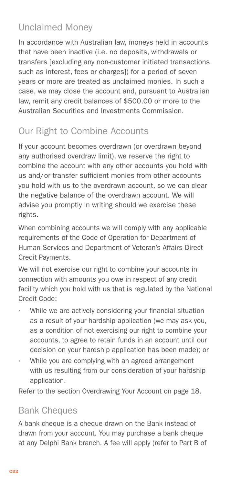# <span id="page-21-0"></span>Unclaimed Money

In accordance with Australian law, moneys held in accounts that have been inactive (i.e. no deposits, withdrawals or transfers [excluding any non-customer initiated transactions such as interest, fees or charges]) for a period of seven years or more are treated as unclaimed monies. In such a case, we may close the account and, pursuant to Australian law, remit any credit balances of \$500.00 or more to the Australian Securities and Investments Commission.

# Our Right to Combine Accounts

If your account becomes overdrawn (or overdrawn beyond any authorised overdraw limit), we reserve the right to combine the account with any other accounts you hold with us and/or transfer sufficient monies from other accounts you hold with us to the overdrawn account, so we can clear the negative balance of the overdrawn account. We will advise you promptly in writing should we exercise these rights.

When combining accounts we will comply with any applicable requirements of the Code of Operation for Department of Human Services and Department of Veteran's Affairs Direct Credit Payments.

We will not exercise our right to combine your accounts in connection with amounts you owe in respect of any credit facility which you hold with us that is regulated by the National Credit Code:

- While we are actively considering your financial situation as a result of your hardship application (we may ask you, as a condition of not exercising our right to combine your accounts, to agree to retain funds in an account until our decision on your hardship application has been made); or
- While you are complying with an agreed arrangement with us resulting from our consideration of your hardship application.

Refer to the section Overdrawing Your Account on page 18.

# Bank Cheques

A bank cheque is a cheque drawn on the Bank instead of drawn from your account. You may purchase a bank cheque at any Delphi Bank branch. A fee will apply (refer to Part B of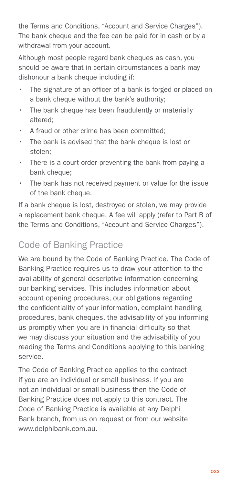<span id="page-22-0"></span>the Terms and Conditions, "Account and Service Charges"). The bank cheque and the fee can be paid for in cash or by a withdrawal from your account.

Although most people regard bank cheques as cash, you should be aware that in certain circumstances a bank may dishonour a bank cheque including if:

- The signature of an officer of a bank is forged or placed on a bank cheque without the bank's authority:
- The bank cheque has been fraudulently or materially altered;
- A fraud or other crime has been committed;
- • The bank is advised that the bank cheque is lost or stolen;
- There is a court order preventing the bank from paying a bank cheque;
- • The bank has not received payment or value for the issue of the bank cheque.

If a bank cheque is lost, destroyed or stolen, we may provide a replacement bank cheque. A fee will apply (refer to Part B of the Terms and Conditions, "Account and Service Charges").

# Code of Banking Practice

We are bound by the Code of Banking Practice. The Code of Banking Practice requires us to draw your attention to the availability of general descriptive information concerning our banking services. This includes information about account opening procedures, our obligations regarding the confidentiality of your information, complaint handling procedures, bank cheques, the advisability of you informing us promptly when you are in financial difficulty so that we may discuss your situation and the advisability of you reading the Terms and Conditions applying to this banking service.

The Code of Banking Practice applies to the contract if you are an individual or small business. If you are not an individual or small business then the Code of Banking Practice does not apply to this contract. The Code of Banking Practice is available at any Delphi Bank branch, from us on request or from our website www.delphibank.com.au.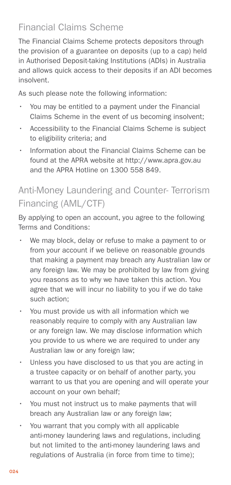# <span id="page-23-0"></span>Financial Claims Scheme

The Financial Claims Scheme protects depositors through the provision of a guarantee on deposits (up to a cap) held in Authorised Deposit-taking Institutions (ADIs) in Australia and allows quick access to their deposits if an ADI becomes insolvent.

As such please note the following information:

- • You may be entitled to a payment under the Financial Claims Scheme in the event of us becoming insolvent;
- Accessibility to the Financial Claims Scheme is subject to eligibility criteria; and
- Information about the Financial Claims Scheme can be found at the APRA website at http://www.apra.gov.au and the APRA Hotline on 1300 558 849.

# Anti-Money Laundering and Counter- Terrorism Financing (AML/CTF)

By applying to open an account, you agree to the following Terms and Conditions:

- We may block, delay or refuse to make a payment to or from your account if we believe on reasonable grounds that making a payment may breach any Australian law or any foreign law. We may be prohibited by law from giving you reasons as to why we have taken this action. You agree that we will incur no liability to you if we do take such action;
- You must provide us with all information which we reasonably require to comply with any Australian law or any foreign law. We may disclose information which you provide to us where we are required to under any Australian law or any foreign law;
- Unless you have disclosed to us that you are acting in a trustee capacity or on behalf of another party, you warrant to us that you are opening and will operate your account on your own behalf;
- You must not instruct us to make payments that will breach any Australian law or any foreign law;
- You warrant that you comply with all applicable anti-money laundering laws and regulations, including but not limited to the anti-money laundering laws and regulations of Australia (in force from time to time);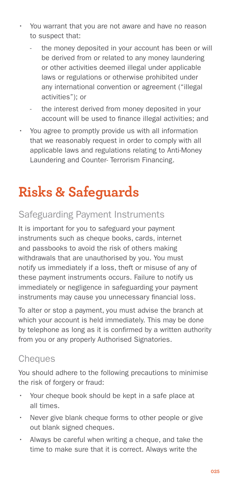- <span id="page-24-0"></span>You warrant that you are not aware and have no reason to suspect that:
	- the money deposited in your account has been or will be derived from or related to any money laundering or other activities deemed illegal under applicable laws or regulations or otherwise prohibited under any international convention or agreement ("illegal activities"); or
	- the interest derived from money deposited in your account will be used to finance illegal activities; and
- You agree to promptly provide us with all information that we reasonably request in order to comply with all applicable laws and regulations relating to Anti-Money Laundering and Counter- Terrorism Financing.

# **Risks & Safeguards**

# Safeguarding Payment Instruments

It is important for you to safeguard your payment instruments such as cheque books, cards, internet and passbooks to avoid the risk of others making withdrawals that are unauthorised by you. You must notify us immediately if a loss, theft or misuse of any of these payment instruments occurs. Failure to notify us immediately or negligence in safeguarding your payment instruments may cause you unnecessary financial loss.

To alter or stop a payment, you must advise the branch at which your account is held immediately. This may be done by telephone as long as it is confirmed by a written authority from you or any properly Authorised Signatories.

# **Cheques**

You should adhere to the following precautions to minimise the risk of forgery or fraud:

- Your cheque book should be kept in a safe place at all times.
- Never give blank cheque forms to other people or give out blank signed cheques.
- Always be careful when writing a cheque, and take the time to make sure that it is correct. Always write the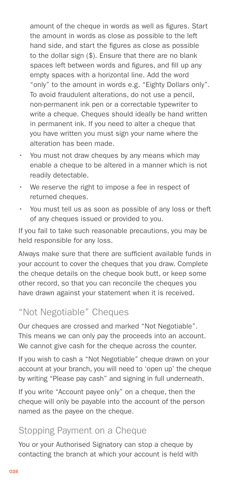<span id="page-25-0"></span>amount of the cheque in words as well as figures. Start the amount in words as close as possible to the left hand side, and start the figures as close as possible to the dollar sign (\$). Ensure that there are no blank spaces left between words and figures, and fill up any empty spaces with a horizontal line. Add the word "only" to the amount in words e.g. "Eighty Dollars only". To avoid fraudulent alterations, do not use a pencil, non-permanent ink pen or a correctable typewriter to write a cheque. Cheques should ideally be hand written in permanent ink. If you need to alter a cheque that you have written you must sign your name where the alteration has been made.

- You must not draw cheques by any means which may enable a cheque to be altered in a manner which is not readily detectable.
- We reserve the right to impose a fee in respect of returned cheques.
- • You must tell us as soon as possible of any loss or theft of any cheques issued or provided to you.

If you fail to take such reasonable precautions, you may be held responsible for any loss.

Always make sure that there are sufficient available funds in your account to cover the cheques that you draw. Complete the cheque details on the cheque book butt, or keep some other record, so that you can reconcile the cheques you have drawn against your statement when it is received.

## "Not Negotiable" Cheques

Our cheques are crossed and marked "Not Negotiable". This means we can only pay the proceeds into an account. We cannot give cash for the cheque across the counter.

If you wish to cash a "Not Negotiable" cheque drawn on your account at your branch, you will need to 'open up' the cheque by writing "Please pay cash" and signing in full underneath.

If you write "Account payee only" on a cheque, then the cheque will only be payable into the account of the person named as the payee on the cheque.

# Stopping Payment on a Cheque

You or your Authorised Signatory can stop a cheque by contacting the branch at which your account is held with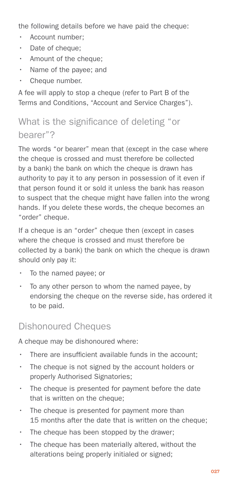<span id="page-26-0"></span>the following details before we have paid the cheque:

- Account number;
- Date of cheque;
- Amount of the cheque:
- Name of the payee; and
- Cheque number.

A fee will apply to stop a cheque (refer to Part B of the Terms and Conditions, "Account and Service Charges").

# What is the significance of deleting "or bearer"?

The words "or bearer" mean that (except in the case where the cheque is crossed and must therefore be collected by a bank) the bank on which the cheque is drawn has authority to pay it to any person in possession of it even if that person found it or sold it unless the bank has reason to suspect that the cheque might have fallen into the wrong hands. If you delete these words, the cheque becomes an "order" cheque.

If a cheque is an "order" cheque then (except in cases where the cheque is crossed and must therefore be collected by a bank) the bank on which the cheque is drawn should only pay it:

- To the named payee; or
- To any other person to whom the named payee, by endorsing the cheque on the reverse side, has ordered it to be paid.

# Dishonoured Cheques

A cheque may be dishonoured where:

- There are insufficient available funds in the account;
- The cheque is not signed by the account holders or properly Authorised Signatories;
- The cheque is presented for payment before the date that is written on the cheque:
- The cheque is presented for payment more than 15 months after the date that is written on the cheque;
- The cheque has been stopped by the drawer;
- $\cdot$  The cheque has been materially altered, without the alterations being properly initialed or signed;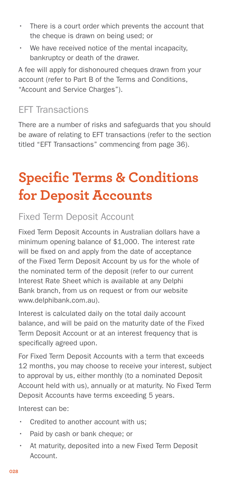- <span id="page-27-0"></span>• There is a court order which prevents the account that the cheque is drawn on being used; or
- We have received notice of the mental incapacity, bankruptcy or death of the drawer.

A fee will apply for dishonoured cheques drawn from your account (refer to Part B of the Terms and Conditions, "Account and Service Charges").

# EFT Transactions

There are a number of risks and safeguards that you should be aware of relating to EFT transactions (refer to the section titled "EFT Transactions" commencing from page 36).

# **Specific Terms & Conditions for Deposit Accounts**

# Fixed Term Deposit Account

Fixed Term Deposit Accounts in Australian dollars have a minimum opening balance of \$1,000. The interest rate will be fixed on and apply from the date of acceptance of the Fixed Term Deposit Account by us for the whole of the nominated term of the deposit (refer to our current Interest Rate Sheet which is available at any Delphi Bank branch, from us on request or from our website www.delphibank.com.au).

Interest is calculated daily on the total daily account balance, and will be paid on the maturity date of the Fixed Term Deposit Account or at an interest frequency that is specifically agreed upon.

For Fixed Term Deposit Accounts with a term that exceeds 12 months, you may choose to receive your interest, subject to approval by us, either monthly (to a nominated Deposit Account held with us), annually or at maturity. No Fixed Term Deposit Accounts have terms exceeding 5 years.

Interest can be:

- Credited to another account with us;
- Paid by cash or bank cheque; or
- At maturity, deposited into a new Fixed Term Deposit Account.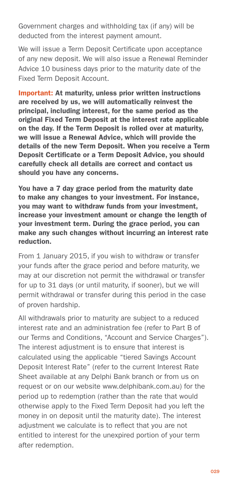Government charges and withholding tax (if any) will be deducted from the interest payment amount.

We will issue a Term Deposit Certificate upon acceptance of any new deposit. We will also issue a Renewal Reminder Advice 10 business days prior to the maturity date of the Fixed Term Deposit Account.

Important: At maturity, unless prior written instructions are received by us, we will automatically reinvest the principal, including interest, for the same period as the original Fixed Term Deposit at the interest rate applicable on the day. If the Term Deposit is rolled over at maturity, we will issue a Renewal Advice, which will provide the details of the new Term Deposit. When you receive a Term Deposit Certificate or a Term Deposit Advice, you should carefully check all details are correct and contact us should you have any concerns.

You have a 7 day grace period from the maturity date to make any changes to your investment. For instance, you may want to withdraw funds from your investment, increase your investment amount or change the length of your investment term. During the grace period, you can make any such changes without incurring an interest rate reduction.

From 1 January 2015, if you wish to withdraw or transfer your funds after the grace period and before maturity, we may at our discretion not permit the withdrawal or transfer for up to 31 days (or until maturity, if sooner), but we will permit withdrawal or transfer during this period in the case of proven hardship.

All withdrawals prior to maturity are subject to a reduced interest rate and an administration fee (refer to Part B of our Terms and Conditions, "Account and Service Charges"). The interest adjustment is to ensure that interest is calculated using the applicable "tiered Savings Account Deposit Interest Rate" (refer to the current Interest Rate Sheet available at any Delphi Bank branch or from us on request or on our website www.delphibank.com.au) for the period up to redemption (rather than the rate that would otherwise apply to the Fixed Term Deposit had you left the money in on deposit until the maturity date). The interest adjustment we calculate is to reflect that you are not entitled to interest for the unexpired portion of your term after redemption.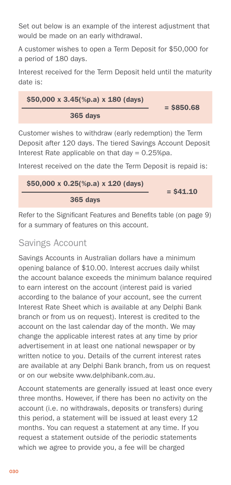<span id="page-29-0"></span>Set out below is an example of the interest adjustment that would be made on an early withdrawal.

A customer wishes to open a Term Deposit for \$50,000 for a period of 180 days.

Interest received for the Term Deposit held until the maturity date is:

$$
\frac{\$50,000 \times 3.45(\%p.a) \times 180 \text{ (days)}}{365 \text{ days}} = \$850.68
$$

Customer wishes to withdraw (early redemption) the Term Deposit after 120 days. The tiered Savings Account Deposit Interest Rate applicable on that day  $= 0.25\%$ pa.

Interest received on the date the Term Deposit is repaid is:

$$
\frac{$50,000 \times 0.25(\%p.a) \times 120 \text{ (days)}}{365 \text{ days}} = $41.10
$$

Refer to the Significant Features and Benefits table (on page 9) for a summary of features on this account.

# Savings Account

Savings Accounts in Australian dollars have a minimum opening balance of \$10.00. Interest accrues daily whilst the account balance exceeds the minimum balance required to earn interest on the account (interest paid is varied according to the balance of your account, see the current Interest Rate Sheet which is available at any Delphi Bank branch or from us on request). Interest is credited to the account on the last calendar day of the month. We may change the applicable interest rates at any time by prior advertisement in at least one national newspaper or by written notice to you. Details of the current interest rates are available at any Delphi Bank branch, from us on request or on our website www.delphibank.com.au.

Account statements are generally issued at least once every three months. However, if there has been no activity on the account (i.e. no withdrawals, deposits or transfers) during this period, a statement will be issued at least every 12 months. You can request a statement at any time. If you request a statement outside of the periodic statements which we agree to provide you, a fee will be charged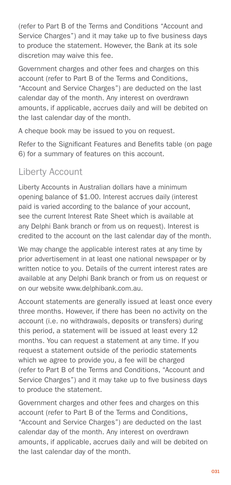<span id="page-30-0"></span>(refer to Part B of the Terms and Conditions "Account and Service Charges") and it may take up to five business days to produce the statement. However, the Bank at its sole discretion may waive this fee.

Government charges and other fees and charges on this account (refer to Part B of the Terms and Conditions, "Account and Service Charges") are deducted on the last calendar day of the month. Any interest on overdrawn amounts, if applicable, accrues daily and will be debited on the last calendar day of the month.

A cheque book may be issued to you on request.

Refer to the Significant Features and Benefits table (on page 6) for a summary of features on this account.

# Liberty Account

Liberty Accounts in Australian dollars have a minimum opening balance of \$1.00. Interest accrues daily (interest paid is varied according to the balance of your account, see the current Interest Rate Sheet which is available at any Delphi Bank branch or from us on request). Interest is credited to the account on the last calendar day of the month.

We may change the applicable interest rates at any time by prior advertisement in at least one national newspaper or by written notice to you. Details of the current interest rates are available at any Delphi Bank branch or from us on request or on our website www.delphibank.com.au.

Account statements are generally issued at least once every three months. However, if there has been no activity on the account (i.e. no withdrawals, deposits or transfers) during this period, a statement will be issued at least every 12 months. You can request a statement at any time. If you request a statement outside of the periodic statements which we agree to provide you, a fee will be charged (refer to Part B of the Terms and Conditions, "Account and Service Charges") and it may take up to five business days to produce the statement.

Government charges and other fees and charges on this account (refer to Part B of the Terms and Conditions, "Account and Service Charges") are deducted on the last calendar day of the month. Any interest on overdrawn amounts, if applicable, accrues daily and will be debited on the last calendar day of the month.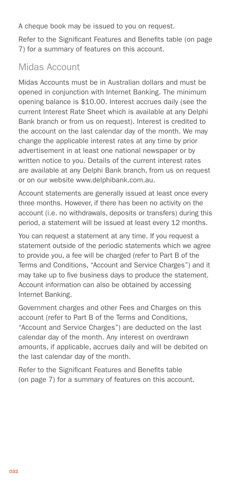<span id="page-31-0"></span>A cheque book may be issued to you on request.

Refer to the Significant Features and Benefits table (on page 7) for a summary of features on this account.

# Midas Account

Midas Accounts must be in Australian dollars and must be opened in conjunction with Internet Banking. The minimum opening balance is \$10.00. Interest accrues daily (see the current Interest Rate Sheet which is available at any Delphi Bank branch or from us on request). Interest is credited to the account on the last calendar day of the month. We may change the applicable interest rates at any time by prior advertisement in at least one national newspaper or by written notice to you. Details of the current interest rates are available at any Delphi Bank branch, from us on request or on our website www.delphibank.com.au.

Account statements are generally issued at least once every three months. However, if there has been no activity on the account (i.e. no withdrawals, deposits or transfers) during this period, a statement will be issued at least every 12 months.

You can request a statement at any time. If you request a statement outside of the periodic statements which we agree to provide you, a fee will be charged (refer to Part B of the Terms and Conditions, "Account and Service Charges") and it may take up to five business days to produce the statement. Account information can also be obtained by accessing Internet Banking.

Government charges and other Fees and Charges on this account (refer to Part B of the Terms and Conditions, "Account and Service Charges") are deducted on the last calendar day of the month. Any interest on overdrawn amounts, if applicable, accrues daily and will be debited on the last calendar day of the month.

Refer to the Significant Features and Benefits table (on page 7) for a summary of features on this account.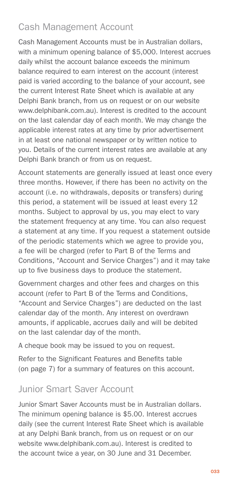# <span id="page-32-0"></span>Cash Management Account

Cash Management Accounts must be in Australian dollars, with a minimum opening balance of \$5,000. Interest accrues daily whilst the account balance exceeds the minimum balance required to earn interest on the account (interest paid is varied according to the balance of your account, see the current Interest Rate Sheet which is available at any Delphi Bank branch, from us on request or on our website www.delphibank.com.au). Interest is credited to the account on the last calendar day of each month. We may change the applicable interest rates at any time by prior advertisement in at least one national newspaper or by written notice to you. Details of the current interest rates are available at any Delphi Bank branch or from us on request.

Account statements are generally issued at least once every three months. However, if there has been no activity on the account (i.e. no withdrawals, deposits or transfers) during this period, a statement will be issued at least every 12 months. Subject to approval by us, you may elect to vary the statement frequency at any time. You can also request a statement at any time. If you request a statement outside of the periodic statements which we agree to provide you, a fee will be charged (refer to Part B of the Terms and Conditions, "Account and Service Charges") and it may take up to five business days to produce the statement.

Government charges and other fees and charges on this account (refer to Part B of the Terms and Conditions, "Account and Service Charges") are deducted on the last calendar day of the month. Any interest on overdrawn amounts, if applicable, accrues daily and will be debited on the last calendar day of the month.

A cheque book may be issued to you on request.

Refer to the Significant Features and Benefits table (on page 7) for a summary of features on this account.

#### Junior Smart Saver Account

Junior Smart Saver Accounts must be in Australian dollars. The minimum opening balance is \$5.00. Interest accrues daily (see the current Interest Rate Sheet which is available at any Delphi Bank branch, from us on request or on our website www.delphibank.com.au). Interest is credited to the account twice a year, on 30 June and 31 December.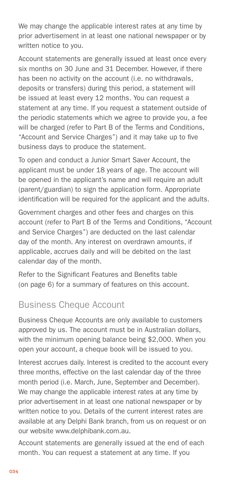<span id="page-33-0"></span>We may change the applicable interest rates at any time by prior advertisement in at least one national newspaper or by written notice to you.

Account statements are generally issued at least once every six months on 30 June and 31 December. However, if there has been no activity on the account (i.e. no withdrawals, deposits or transfers) during this period, a statement will be issued at least every 12 months. You can request a statement at any time. If you request a statement outside of the periodic statements which we agree to provide you, a fee will be charged (refer to Part B of the Terms and Conditions, "Account and Service Charges") and it may take up to five business days to produce the statement.

To open and conduct a Junior Smart Saver Account, the applicant must be under 18 years of age. The account will be opened in the applicant's name and will require an adult (parent/guardian) to sign the application form. Appropriate identification will be required for the applicant and the adults.

Government charges and other fees and charges on this account (refer to Part B of the Terms and Conditions, "Account and Service Charges") are deducted on the last calendar day of the month. Any interest on overdrawn amounts, if applicable, accrues daily and will be debited on the last calendar day of the month.

Refer to the Significant Features and Benefits table (on page 6) for a summary of features on this account.

# Business Cheque Account

Business Cheque Accounts are only available to customers approved by us. The account must be in Australian dollars, with the minimum opening balance being \$2,000. When you open your account, a cheque book will be issued to you.

Interest accrues daily. Interest is credited to the account every three months, effective on the last calendar day of the three month period (i.e. March, June, September and December). We may change the applicable interest rates at any time by prior advertisement in at least one national newspaper or by written notice to you. Details of the current interest rates are available at any Delphi Bank branch, from us on request or on our website www.delphibank.com.au.

Account statements are generally issued at the end of each month. You can request a statement at any time. If you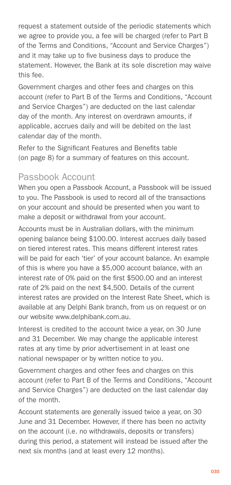<span id="page-34-0"></span>request a statement outside of the periodic statements which we agree to provide you, a fee will be charged (refer to Part B of the Terms and Conditions, "Account and Service Charges") and it may take up to five business days to produce the statement. However, the Bank at its sole discretion may waive this fee.

Government charges and other fees and charges on this account (refer to Part B of the Terms and Conditions, "Account and Service Charges") are deducted on the last calendar day of the month. Any interest on overdrawn amounts, if applicable, accrues daily and will be debited on the last calendar day of the month.

Refer to the Significant Features and Benefits table (on page 8) for a summary of features on this account.

## Passbook Account

When you open a Passbook Account, a Passbook will be issued to you. The Passbook is used to record all of the transactions on your account and should be presented when you want to make a deposit or withdrawal from your account.

Accounts must be in Australian dollars, with the minimum opening balance being \$100.00. Interest accrues daily based on tiered interest rates. This means different interest rates will be paid for each 'tier' of your account balance. An example of this is where you have a \$5,000 account balance, with an interest rate of 0% paid on the first \$500.00 and an interest rate of 2% paid on the next \$4,500. Details of the current interest rates are provided on the Interest Rate Sheet, which is available at any Delphi Bank branch, from us on request or on our website www.delphibank.com.au.

Interest is credited to the account twice a year, on 30 June and 31 December. We may change the applicable interest rates at any time by prior advertisement in at least one national newspaper or by written notice to you.

Government charges and other fees and charges on this account (refer to Part B of the Terms and Conditions, "Account and Service Charges") are deducted on the last calendar day of the month.

Account statements are generally issued twice a year, on 30 June and 31 December. However, if there has been no activity on the account (i.e. no withdrawals, deposits or transfers) during this period, a statement will instead be issued after the next six months (and at least every 12 months).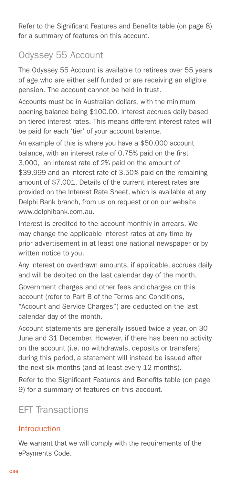<span id="page-35-0"></span>Refer to the Significant Features and Benefits table (on page 8) for a summary of features on this account.

# Odyssey 55 Account

The Odyssey 55 Account is available to retirees over 55 years of age who are either self funded or are receiving an eligible pension. The account cannot be held in trust.

Accounts must be in Australian dollars, with the minimum opening balance being \$100.00. Interest accrues daily based on tiered interest rates. This means different interest rates will be paid for each 'tier' of your account balance.

An example of this is where you have a \$50,000 account balance, with an interest rate of 0.75% paid on the first 3,000, an interest rate of 2% paid on the amount of \$39,999 and an interest rate of 3.50% paid on the remaining amount of \$7,001. Details of the current interest rates are provided on the Interest Rate Sheet, which is available at any Delphi Bank branch, from us on request or on our website www.delphibank.com.au.

Interest is credited to the account monthly in arrears. We may change the applicable interest rates at any time by prior advertisement in at least one national newspaper or by written notice to you.

Any interest on overdrawn amounts, if applicable, accrues daily and will be debited on the last calendar day of the month.

Government charges and other fees and charges on this account (refer to Part B of the Terms and Conditions, "Account and Service Charges") are deducted on the last calendar day of the month.

Account statements are generally issued twice a year, on 30 June and 31 December. However, if there has been no activity on the account (i.e. no withdrawals, deposits or transfers) during this period, a statement will instead be issued after the next six months (and at least every 12 months).

Refer to the Significant Features and Benefits table (on page 9) for a summary of features on this account.

# EFT Transactions

#### Introduction

We warrant that we will comply with the requirements of the ePayments Code.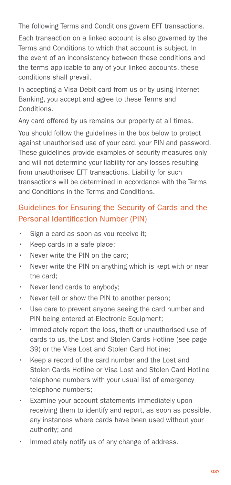<span id="page-36-0"></span>The following Terms and Conditions govern EFT transactions.

Each transaction on a linked account is also governed by the Terms and Conditions to which that account is subject. In the event of an inconsistency between these conditions and the terms applicable to any of your linked accounts, these conditions shall prevail.

In accepting a Visa Debit card from us or by using Internet Banking, you accept and agree to these Terms and **Conditions** 

Any card offered by us remains our property at all times.

You should follow the guidelines in the box below to protect against unauthorised use of your card, your PIN and password. These guidelines provide examples of security measures only and will not determine your liability for any losses resulting from unauthorised EFT transactions. Liability for such transactions will be determined in accordance with the Terms and Conditions in the Terms and Conditions.

## Guidelines for Ensuring the Security of Cards and the Personal Identification Number (PIN)

- Sign a card as soon as you receive it;
- Keep cards in a safe place:
- Never write the PIN on the card:
- Never write the PIN on anything which is kept with or near the card;
- Never lend cards to anybody;
- Never tell or show the PIN to another person;
- Use care to prevent anyone seeing the card number and PIN being entered at Electronic Equipment;
- Immediately report the loss, theft or unauthorised use of cards to us, the Lost and Stolen Cards Hotline (see page 39) or the Visa Lost and Stolen Card Hotline;
- Keep a record of the card number and the Lost and Stolen Cards Hotline or Visa Lost and Stolen Card Hotline telephone numbers with your usual list of emergency telephone numbers;
- Examine your account statements immediately upon receiving them to identify and report, as soon as possible, any instances where cards have been used without your authority; and
- Immediately notify us of any change of address.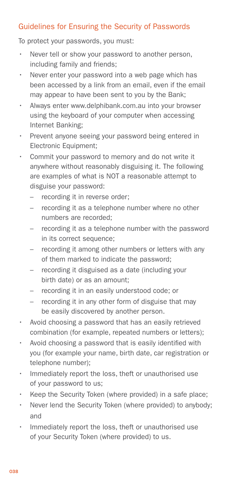#### Guidelines for Ensuring the Security of Passwords

To protect your passwords, you must:

- Never tell or show your password to another person, including family and friends;
- Never enter your password into a web page which has been accessed by a link from an email, even if the email may appear to have been sent to you by the Bank;
- Always enter www.delphibank.com.au into your browser using the keyboard of your computer when accessing Internet Banking;
- Prevent anyone seeing your password being entered in Electronic Equipment;
- Commit your password to memory and do not write it anywhere without reasonably disguising it. The following are examples of what is NOT a reasonable attempt to disguise your password:
	- recording it in reverse order;
	- recording it as a telephone number where no other numbers are recorded;
	- recording it as a telephone number with the password in its correct sequence;
	- recording it among other numbers or letters with any of them marked to indicate the password;
	- recording it disguised as a date (including your birth date) or as an amount;
	- recording it in an easily understood code; or
	- recording it in any other form of disguise that may be easily discovered by another person.
- Avoid choosing a password that has an easily retrieved combination (for example, repeated numbers or letters);
- Avoid choosing a password that is easily identified with you (for example your name, birth date, car registration or telephone number);
- Immediately report the loss, theft or unauthorised use of your password to us;
- Keep the Security Token (where provided) in a safe place;
- Never lend the Security Token (where provided) to anybody: and
- Immediately report the loss, theft or unauthorised use of your Security Token (where provided) to us.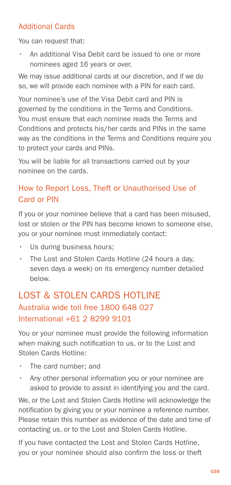#### Additional Cards

You can request that:

An additional Visa Debit card be issued to one or more nominees aged 16 years or over.

We may issue additional cards at our discretion, and if we do so, we will provide each nominee with a PIN for each card.

Your nominee's use of the Visa Debit card and PIN is governed by the conditions in the Terms and Conditions. You must ensure that each nominee reads the Terms and Conditions and protects his/her cards and PINs in the same way as the conditions in the Terms and Conditions require you to protect your cards and PINs.

You will be liable for all transactions carried out by your nominee on the cards.

## How to Report Loss, Theft or Unauthorised Use of Card or PIN

If you or your nominee believe that a card has been misused, lost or stolen or the PIN has become known to someone else, you or your nominee must immediately contact:

- Us during business hours:
- The Lost and Stolen Cards Hotline (24 hours a day, seven days a week) on its emergency number detailed below.

# LOST & STOLEN CARDS HOTLINE Australia wide toll free 1800 648 027 International +61 2 8299 9101

You or your nominee must provide the following information when making such notification to us, or to the Lost and Stolen Cards Hotline:

- The card number: and
- Any other personal information you or your nominee are asked to provide to assist in identifying you and the card.

We, or the Lost and Stolen Cards Hotline will acknowledge the notification by giving you or your nominee a reference number. Please retain this number as evidence of the date and time of contacting us, or to the Lost and Stolen Cards Hotline.

If you have contacted the Lost and Stolen Cards Hotline, you or your nominee should also confirm the loss or theft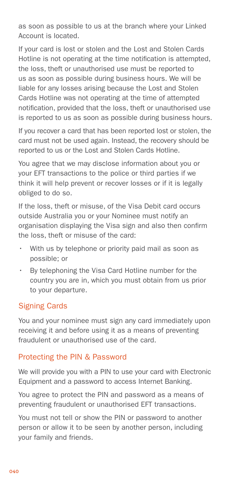as soon as possible to us at the branch where your Linked Account is located.

If your card is lost or stolen and the Lost and Stolen Cards Hotline is not operating at the time notification is attempted, the loss, theft or unauthorised use must be reported to us as soon as possible during business hours. We will be liable for any losses arising because the Lost and Stolen Cards Hotline was not operating at the time of attempted notification, provided that the loss, theft or unauthorised use is reported to us as soon as possible during business hours.

If you recover a card that has been reported lost or stolen, the card must not be used again. Instead, the recovery should be reported to us or the Lost and Stolen Cards Hotline.

You agree that we may disclose information about you or your EFT transactions to the police or third parties if we think it will help prevent or recover losses or if it is legally obliged to do so.

If the loss, theft or misuse, of the Visa Debit card occurs outside Australia you or your Nominee must notify an organisation displaying the Visa sign and also then confirm the loss, theft or misuse of the card:

- With us by telephone or priority paid mail as soon as possible; or
- By telephoning the Visa Card Hotline number for the country you are in, which you must obtain from us prior to your departure.

#### Signing Cards

You and your nominee must sign any card immediately upon receiving it and before using it as a means of preventing fraudulent or unauthorised use of the card.

#### Protecting the PIN & Password

We will provide you with a PIN to use your card with Electronic Equipment and a password to access Internet Banking.

You agree to protect the PIN and password as a means of preventing fraudulent or unauthorised EFT transactions.

You must not tell or show the PIN or password to another person or allow it to be seen by another person, including your family and friends.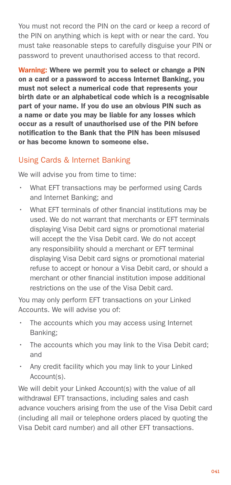You must not record the PIN on the card or keep a record of the PIN on anything which is kept with or near the card. You must take reasonable steps to carefully disguise your PIN or password to prevent unauthorised access to that record.

Warning: Where we permit you to select or change a PIN on a card or a password to access Internet Banking, you must not select a numerical code that represents your birth date or an alphabetical code which is a recognisable part of your name. If you do use an obvious PIN such as a name or date you may be liable for any losses which occur as a result of unauthorised use of the PIN before notification to the Bank that the PIN has been misused or has become known to someone else.

#### Using Cards & Internet Banking

We will advise you from time to time:

- What EFT transactions may be performed using Cards and Internet Banking; and
- What EFT terminals of other financial institutions may be used. We do not warrant that merchants or EFT terminals displaying Visa Debit card signs or promotional material will accept the the Visa Debit card. We do not accept any responsibility should a merchant or EFT terminal displaying Visa Debit card signs or promotional material refuse to accept or honour a Visa Debit card, or should a merchant or other financial institution impose additional restrictions on the use of the Visa Debit card.

You may only perform EFT transactions on your Linked Accounts. We will advise you of:

- The accounts which you may access using Internet Banking;
- The accounts which you may link to the Visa Debit card; and
- Any credit facility which you may link to your Linked Account(s).

We will debit your Linked Account(s) with the value of all withdrawal EFT transactions, including sales and cash advance vouchers arising from the use of the Visa Debit card (including all mail or telephone orders placed by quoting the Visa Debit card number) and all other EFT transactions.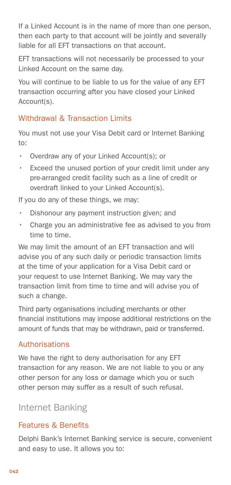If a Linked Account is in the name of more than one person, then each party to that account will be jointly and severally liable for all EFT transactions on that account.

EFT transactions will not necessarily be processed to your Linked Account on the same day.

You will continue to be liable to us for the value of any EFT transaction occurring after you have closed your Linked Account(s).

#### Withdrawal & Transaction Limits

You must not use your Visa Debit card or Internet Banking to:

- Overdraw any of your Linked Account(s); or
- **Exceed the unused portion of your credit limit under any** pre-arranged credit facility such as a line of credit or overdraft linked to your Linked Account(s).

If you do any of these things, we may:

- Dishonour any payment instruction given; and
- Charge you an administrative fee as advised to you from time to time.

We may limit the amount of an EFT transaction and will advise you of any such daily or periodic transaction limits at the time of your application for a Visa Debit card or your request to use Internet Banking. We may vary the transaction limit from time to time and will advise you of such a change.

Third party organisations including merchants or other financial institutions may impose additional restrictions on the amount of funds that may be withdrawn, paid or transferred.

#### Authorisations

We have the right to deny authorisation for any EFT transaction for any reason. We are not liable to you or any other person for any loss or damage which you or such other person may suffer as a result of such refusal.

#### Internet Banking

#### Features & Benefits

Delphi Bank's Internet Banking service is secure, convenient and easy to use. It allows you to: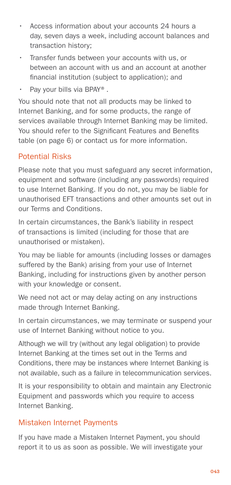- <span id="page-42-0"></span>• Access information about your accounts 24 hours a day, seven days a week, including account balances and transaction history;
- Transfer funds between your accounts with us, or between an account with us and an account at another financial institution (subject to application); and
- Pay your bills via BPAY®.

You should note that not all products may be linked to Internet Banking, and for some products, the range of services available through Internet Banking may be limited. You should refer to the Significant Features and Benefits table (on page 6) or contact us for more information.

#### Potential Risks

Please note that you must safeguard any secret information, equipment and software (including any passwords) required to use Internet Banking. If you do not, you may be liable for unauthorised EFT transactions and other amounts set out in our Terms and Conditions.

In certain circumstances, the Bank's liability in respect of transactions is limited (including for those that are unauthorised or mistaken).

You may be liable for amounts (including losses or damages suffered by the Bank) arising from your use of Internet Banking, including for instructions given by another person with your knowledge or consent.

We need not act or may delay acting on any instructions made through Internet Banking.

In certain circumstances, we may terminate or suspend your use of Internet Banking without notice to you.

Although we will try (without any legal obligation) to provide Internet Banking at the times set out in the Terms and Conditions, there may be instances where Internet Banking is not available, such as a failure in telecommunication services.

It is your responsibility to obtain and maintain any Electronic Equipment and passwords which you require to access Internet Banking.

#### Mistaken Internet Payments

If you have made a Mistaken Internet Payment, you should report it to us as soon as possible. We will investigate your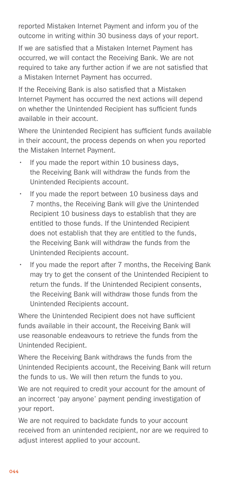reported Mistaken Internet Payment and inform you of the outcome in writing within 30 business days of your report.

If we are satisfied that a Mistaken Internet Payment has occurred, we will contact the Receiving Bank. We are not required to take any further action if we are not satisfied that a Mistaken Internet Payment has occurred.

If the Receiving Bank is also satisfied that a Mistaken Internet Payment has occurred the next actions will depend on whether the Unintended Recipient has sufficient funds available in their account.

Where the Unintended Recipient has sufficient funds available in their account, the process depends on when you reported the Mistaken Internet Payment.

- If you made the report within 10 business days, the Receiving Bank will withdraw the funds from the Unintended Recipients account.
- If you made the report between 10 business days and 7 months, the Receiving Bank will give the Unintended Recipient 10 business days to establish that they are entitled to those funds. If the Unintended Recipient does not establish that they are entitled to the funds, the Receiving Bank will withdraw the funds from the Unintended Recipients account.
- If you made the report after 7 months, the Receiving Bank may try to get the consent of the Unintended Recipient to return the funds. If the Unintended Recipient consents, the Receiving Bank will withdraw those funds from the Unintended Recipients account.

Where the Unintended Recipient does not have sufficient funds available in their account, the Receiving Bank will use reasonable endeavours to retrieve the funds from the Unintended Recipient.

Where the Receiving Bank withdraws the funds from the Unintended Recipients account, the Receiving Bank will return the funds to us. We will then return the funds to you.

We are not required to credit your account for the amount of an incorrect 'pay anyone' payment pending investigation of your report.

We are not required to backdate funds to your account received from an unintended recipient, nor are we required to adjust interest applied to your account.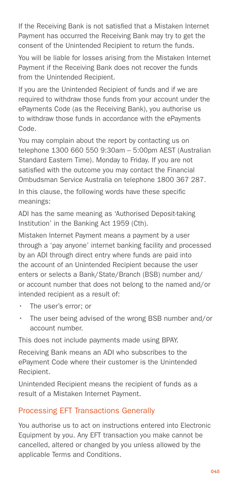If the Receiving Bank is not satisfied that a Mistaken Internet Payment has occurred the Receiving Bank may try to get the consent of the Unintended Recipient to return the funds.

You will be liable for losses arising from the Mistaken Internet Payment if the Receiving Bank does not recover the funds from the Unintended Recipient.

If you are the Unintended Recipient of funds and if we are required to withdraw those funds from your account under the ePayments Code (as the Receiving Bank), you authorise us to withdraw those funds in accordance with the ePayments Code.

You may complain about the report by contacting us on telephone 1300 660 550 9:30am – 5:00pm AEST (Australian Standard Eastern Time). Monday to Friday. If you are not satisfied with the outcome you may contact the Financial Ombudsman Service Australia on telephone 1800 367 287.

In this clause, the following words have these specific meanings:

ADI has the same meaning as 'Authorised Deposit-taking Institution' in the Banking Act 1959 (Cth).

Mistaken Internet Payment means a payment by a user through a 'pay anyone' internet banking facility and processed by an ADI through direct entry where funds are paid into the account of an Unintended Recipient because the user enters or selects a Bank/State/Branch (BSB) number and/ or account number that does not belong to the named and/or intended recipient as a result of:

- • The user's error; or
- The user being advised of the wrong BSB number and/or account number.

This does not include payments made using BPAY.

Receiving Bank means an ADI who subscribes to the ePayment Code where their customer is the Unintended Recipient.

Unintended Recipient means the recipient of funds as a result of a Mistaken Internet Payment.

#### Processing EFT Transactions Generally

You authorise us to act on instructions entered into Electronic Equipment by you. Any EFT transaction you make cannot be cancelled, altered or changed by you unless allowed by the applicable Terms and Conditions.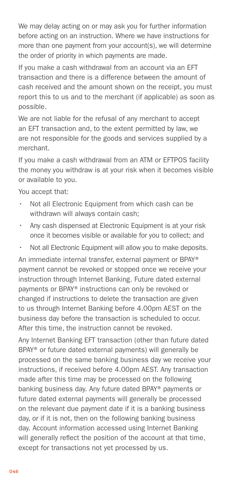We may delay acting on or may ask you for further information before acting on an instruction. Where we have instructions for more than one payment from your account(s), we will determine the order of priority in which payments are made.

If you make a cash withdrawal from an account via an EFT transaction and there is a difference between the amount of cash received and the amount shown on the receipt, you must report this to us and to the merchant (if applicable) as soon as possible.

We are not liable for the refusal of any merchant to accept an EFT transaction and, to the extent permitted by law, we are not responsible for the goods and services supplied by a merchant.

If you make a cash withdrawal from an ATM or EFTPOS facility the money you withdraw is at your risk when it becomes visible or available to you.

You accept that:

- Not all Electronic Equipment from which cash can be withdrawn will always contain cash;
- Any cash dispensed at Electronic Equipment is at your risk once it becomes visible or available for you to collect; and
- Not all Electronic Equipment will allow you to make deposits.

An immediate internal transfer, external payment or BPAY® payment cannot be revoked or stopped once we receive your instruction through Internet Banking. Future dated external payments or BPAY® instructions can only be revoked or changed if instructions to delete the transaction are given to us through Internet Banking before 4.00pm AEST on the business day before the transaction is scheduled to occur. After this time, the instruction cannot be revoked.

Any Internet Banking EFT transaction (other than future dated BPAY® or future dated external payments) will generally be processed on the same banking business day we receive your instructions, if received before 4.00pm AEST. Any transaction made after this time may be processed on the following banking business day. Any future dated BPAY® payments or future dated external payments will generally be processed on the relevant due payment date if it is a banking business day, or if it is not, then on the following banking business day. Account information accessed using Internet Banking will generally reflect the position of the account at that time, except for transactions not yet processed by us.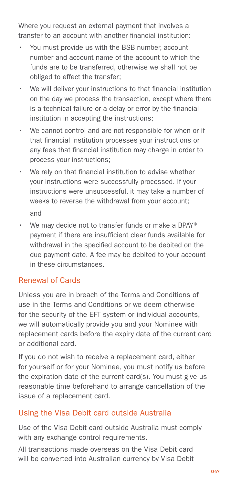Where you request an external payment that involves a transfer to an account with another financial institution:

- You must provide us with the BSB number, account number and account name of the account to which the funds are to be transferred, otherwise we shall not be obliged to effect the transfer;
- We will deliver your instructions to that financial institution on the day we process the transaction, except where there is a technical failure or a delay or error by the financial institution in accepting the instructions;
- We cannot control and are not responsible for when or if that financial institution processes your instructions or any fees that financial institution may charge in order to process your instructions;
- We rely on that financial institution to advise whether your instructions were successfully processed. If your instructions were unsuccessful, it may take a number of weeks to reverse the withdrawal from your account; and
- We may decide not to transfer funds or make a BPAY® payment if there are insufficient clear funds available for withdrawal in the specified account to be debited on the due payment date. A fee may be debited to your account in these circumstances.

#### Renewal of Cards

Unless you are in breach of the Terms and Conditions of use in the Terms and Conditions or we deem otherwise for the security of the EFT system or individual accounts, we will automatically provide you and your Nominee with replacement cards before the expiry date of the current card or additional card.

If you do not wish to receive a replacement card, either for yourself or for your Nominee, you must notify us before the expiration date of the current card(s). You must give us reasonable time beforehand to arrange cancellation of the issue of a replacement card.

#### Using the Visa Debit card outside Australia

Use of the Visa Debit card outside Australia must comply with any exchange control requirements.

All transactions made overseas on the Visa Debit card will be converted into Australian currency by Visa Debit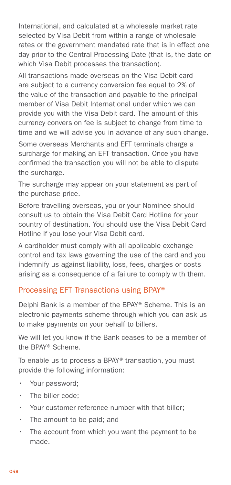International, and calculated at a wholesale market rate selected by Visa Debit from within a range of wholesale rates or the government mandated rate that is in effect one day prior to the Central Processing Date (that is, the date on which Visa Debit processes the transaction).

All transactions made overseas on the Visa Debit card are subject to a currency conversion fee equal to 2% of the value of the transaction and payable to the principal member of Visa Debit International under which we can provide you with the Visa Debit card. The amount of this currency conversion fee is subject to change from time to time and we will advise you in advance of any such change.

Some overseas Merchants and EFT terminals charge a surcharge for making an EFT transaction. Once you have confirmed the transaction you will not be able to dispute the surcharge.

The surcharge may appear on your statement as part of the purchase price.

Before travelling overseas, you or your Nominee should consult us to obtain the Visa Debit Card Hotline for your country of destination. You should use the Visa Debit Card Hotline if you lose your Visa Debit card.

A cardholder must comply with all applicable exchange control and tax laws governing the use of the card and you indemnify us against liability, loss, fees, charges or costs arising as a consequence of a failure to comply with them.

#### Processing EFT Transactions using BPAY®

Delphi Bank is a member of the BPAY® Scheme. This is an electronic payments scheme through which you can ask us to make payments on your behalf to billers.

We will let you know if the Bank ceases to be a member of the BPAY® Scheme.

To enable us to process a BPAY® transaction, you must provide the following information:

- Your password;
- $\cdot$  The biller code:
- Your customer reference number with that biller:
- $\cdot$  The amount to be paid; and
- $\cdot$  The account from which you want the payment to be made.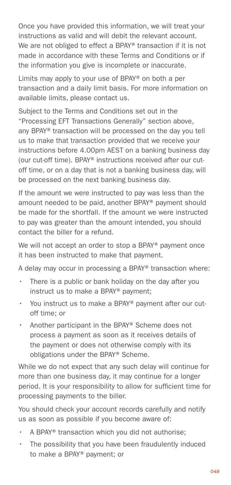Once you have provided this information, we will treat your instructions as valid and will debit the relevant account. We are not obliged to effect a BPAY® transaction if it is not made in accordance with these Terms and Conditions or if the information you give is incomplete or inaccurate.

Limits may apply to your use of BPAY® on both a per transaction and a daily limit basis. For more information on available limits, please contact us.

Subject to the Terms and Conditions set out in the "Processing EFT Transactions Generally" section above, any BPAY® transaction will be processed on the day you tell us to make that transaction provided that we receive your instructions before 4.00pm AEST on a banking business day (our cut-off time). BPAY® instructions received after our cutoff time, or on a day that is not a banking business day, will be processed on the next banking business day.

If the amount we were instructed to pay was less than the amount needed to be paid, another BPAY® payment should be made for the shortfall. If the amount we were instructed to pay was greater than the amount intended, you should contact the biller for a refund.

We will not accept an order to stop a BPAY® payment once it has been instructed to make that payment.

A delay may occur in processing a BPAY® transaction where:

- There is a public or bank holiday on the day after you instruct us to make a BPAY® payment;
- You instruct us to make a BPAY® payment after our cutoff time; or
- Another participant in the BPAY® Scheme does not process a payment as soon as it receives details of the payment or does not otherwise comply with its obligations under the BPAY® Scheme.

While we do not expect that any such delay will continue for more than one business day, it may continue for a longer period. It is your responsibility to allow for sufficient time for processing payments to the biller.

You should check your account records carefully and notify us as soon as possible if you become aware of:

- A BPAY® transaction which you did not authorise;
- The possibility that you have been fraudulently induced to make a BPAY® payment; or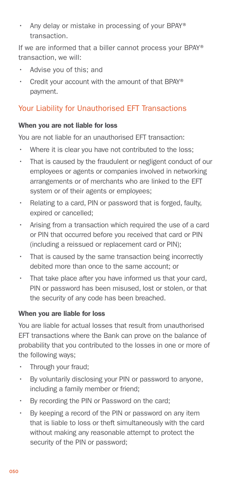• Any delay or mistake in processing of your BPAY® transaction.

If we are informed that a biller cannot process your BPAY® transaction, we will:

- Advise you of this; and
- Credit your account with the amount of that BPAY® payment.

#### Your Liability for Unauthorised EFT Transactions

#### When you are not liable for loss

You are not liable for an unauthorised EFT transaction:

- Where it is clear you have not contributed to the loss;
- That is caused by the fraudulent or negligent conduct of our employees or agents or companies involved in networking arrangements or of merchants who are linked to the EFT system or of their agents or employees;
- Relating to a card, PIN or password that is forged, faulty, expired or cancelled;
- Arising from a transaction which required the use of a card or PIN that occurred before you received that card or PIN (including a reissued or replacement card or PIN);
- • That is caused by the same transaction being incorrectly debited more than once to the same account; or
- That take place after you have informed us that your card, PIN or password has been misused, lost or stolen, or that the security of any code has been breached.

#### When you are liable for loss

You are liable for actual losses that result from unauthorised EFT transactions where the Bank can prove on the balance of probability that you contributed to the losses in one or more of the following ways;

- Through your fraud;
- • By voluntarily disclosing your PIN or password to anyone, including a family member or friend;
- By recording the PIN or Password on the card;
- • By keeping a record of the PIN or password on any item that is liable to loss or theft simultaneously with the card without making any reasonable attempt to protect the security of the PIN or password;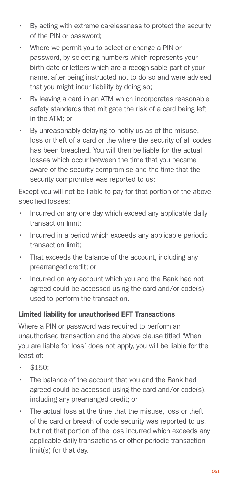- • By acting with extreme carelessness to protect the security of the PIN or password;
- Where we permit you to select or change a PIN or password, by selecting numbers which represents your birth date or letters which are a recognisable part of your name, after being instructed not to do so and were advised that you might incur liability by doing so;
- By leaving a card in an ATM which incorporates reasonable safety standards that mitigate the risk of a card being left in the ATM; or
- By unreasonably delaying to notify us as of the misuse, loss or theft of a card or the where the security of all codes has been breached. You will then be liable for the actual losses which occur between the time that you became aware of the security compromise and the time that the security compromise was reported to us;

Except you will not be liable to pay for that portion of the above specified losses:

- Incurred on any one day which exceed any applicable daily transaction limit;
- Incurred in a period which exceeds any applicable periodic transaction limit;
- That exceeds the balance of the account, including any prearranged credit; or
- Incurred on any account which you and the Bank had not agreed could be accessed using the card and/or code(s) used to perform the transaction.

#### Limited liability for unauthorised EFT Transactions

Where a PIN or password was required to perform an unauthorised transaction and the above clause titled 'When you are liable for loss' does not apply, you will be liable for the least of:

- $$150:$
- The balance of the account that you and the Bank had agreed could be accessed using the card and/or code(s), including any prearranged credit; or
- The actual loss at the time that the misuse, loss or theft of the card or breach of code security was reported to us, but not that portion of the loss incurred which exceeds any applicable daily transactions or other periodic transaction limit(s) for that day.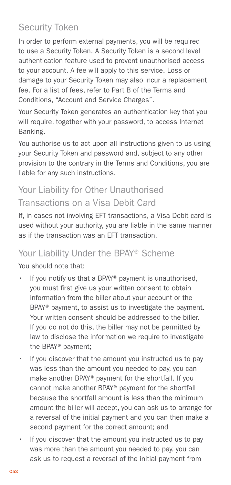# <span id="page-51-0"></span>Security Token

In order to perform external payments, you will be required to use a Security Token. A Security Token is a second level authentication feature used to prevent unauthorised access to your account. A fee will apply to this service. Loss or damage to your Security Token may also incur a replacement fee. For a list of fees, refer to Part B of the Terms and Conditions, "Account and Service Charges".

Your Security Token generates an authentication key that you will require, together with your password, to access Internet Banking.

You authorise us to act upon all instructions given to us using your Security Token and password and, subject to any other provision to the contrary in the Terms and Conditions, you are liable for any such instructions.

# Your Liability for Other Unauthorised Transactions on a Visa Debit Card

If, in cases not involving EFT transactions, a Visa Debit card is used without your authority, you are liable in the same manner as if the transaction was an EFT transaction.

# Your Liability Under the BPAY® Scheme

You should note that:

- If you notify us that a BPAY® payment is unauthorised, you must first give us your written consent to obtain information from the biller about your account or the BPAY® payment, to assist us to investigate the payment. Your written consent should be addressed to the biller. If you do not do this, the biller may not be permitted by law to disclose the information we require to investigate the BPAY® payment;
- If you discover that the amount you instructed us to pay was less than the amount you needed to pay, you can make another BPAY® payment for the shortfall. If you cannot make another BPAY® payment for the shortfall because the shortfall amount is less than the minimum amount the biller will accept, you can ask us to arrange for a reversal of the initial payment and you can then make a second payment for the correct amount; and
- If you discover that the amount you instructed us to pay was more than the amount you needed to pay, you can ask us to request a reversal of the initial payment from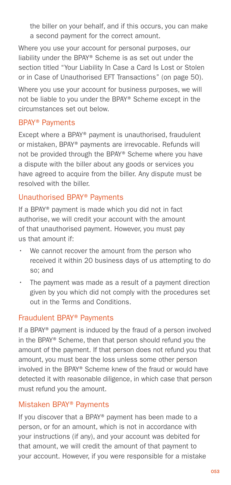the biller on your behalf, and if this occurs, you can make a second payment for the correct amount.

Where you use your account for personal purposes, our liability under the BPAY® Scheme is as set out under the section titled "Your Liability In Case a Card Is Lost or Stolen or in Case of Unauthorised EFT Transactions" (on page 50).

Where you use your account for business purposes, we will not be liable to you under the BPAY® Scheme except in the circumstances set out below.

#### BPAY® Payments

Except where a BPAY® payment is unauthorised, fraudulent or mistaken, BPAY® payments are irrevocable. Refunds will not be provided through the BPAY® Scheme where you have a dispute with the biller about any goods or services you have agreed to acquire from the biller. Any dispute must be resolved with the biller.

#### Unauthorised BPAY® Payments

If a BPAY® payment is made which you did not in fact authorise, we will credit your account with the amount of that unauthorised payment. However, you must pay us that amount if:

- We cannot recover the amount from the person who received it within 20 business days of us attempting to do so; and
- The payment was made as a result of a payment direction given by you which did not comply with the procedures set out in the Terms and Conditions.

#### Fraudulent BPAY® Payments

If a BPAY® payment is induced by the fraud of a person involved in the BPAY® Scheme, then that person should refund you the amount of the payment. If that person does not refund you that amount, you must bear the loss unless some other person involved in the BPAY® Scheme knew of the fraud or would have detected it with reasonable diligence, in which case that person must refund you the amount.

#### Mistaken BPAY® Payments

If you discover that a BPAY® payment has been made to a person, or for an amount, which is not in accordance with your instructions (if any), and your account was debited for that amount, we will credit the amount of that payment to your account. However, if you were responsible for a mistake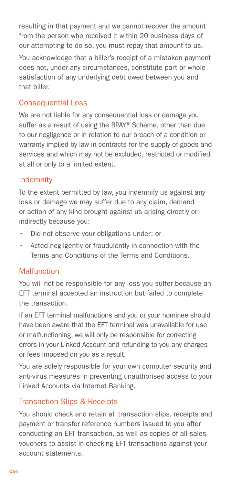resulting in that payment and we cannot recover the amount from the person who received it within 20 business days of our attempting to do so, you must repay that amount to us.

You acknowledge that a biller's receipt of a mistaken payment does not, under any circumstances, constitute part or whole satisfaction of any underlying debt owed between you and that biller.

#### Consequential Loss

We are not liable for any consequential loss or damage you suffer as a result of using the BPAY® Scheme, other than due to our negligence or in relation to our breach of a condition or warranty implied by law in contracts for the supply of goods and services and which may not be excluded, restricted or modified at all or only to a limited extent.

#### Indemnity

To the extent permitted by law, you indemnify us against any loss or damage we may suffer due to any claim, demand or action of any kind brought against us arising directly or indirectly because you:

- Did not observe your obligations under; or
- Acted negligently or fraudulently in connection with the Terms and Conditions of the Terms and Conditions.

#### **Malfunction**

You will not be responsible for any loss you suffer because an EFT terminal accepted an instruction but failed to complete the transaction.

If an EFT terminal malfunctions and you or your nominee should have been aware that the EFT terminal was unavailable for use or malfunctioning, we will only be responsible for correcting errors in your Linked Account and refunding to you any charges or fees imposed on you as a result.

You are solely responsible for your own computer security and anti-virus measures in preventing unauthorised access to your Linked Accounts via Internet Banking.

#### Transaction Slips & Receipts

You should check and retain all transaction slips, receipts and payment or transfer reference numbers issued to you after conducting an EFT transaction, as well as copies of all sales vouchers to assist in checking EFT transactions against your account statements.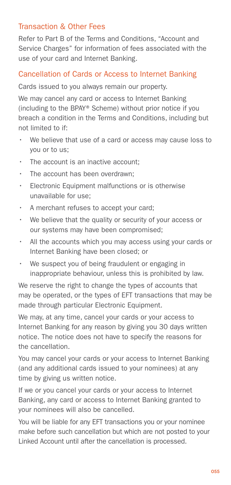#### Transaction & Other Fees

Refer to Part B of the Terms and Conditions, "Account and Service Charges" for information of fees associated with the use of your card and Internet Banking.

#### Cancellation of Cards or Access to Internet Banking

Cards issued to you always remain our property.

We may cancel any card or access to Internet Banking (including to the BPAY® Scheme) without prior notice if you breach a condition in the Terms and Conditions, including but not limited to if:

- We believe that use of a card or access may cause loss to you or to us;
- The account is an inactive account:
- The account has been overdrawn:
- Electronic Equipment malfunctions or is otherwise unavailable for use;
- A merchant refuses to accept your card;
- We believe that the quality or security of your access or our systems may have been compromised;
- All the accounts which you may access using your cards or Internet Banking have been closed; or
- We suspect you of being fraudulent or engaging in inappropriate behaviour, unless this is prohibited by law.

We reserve the right to change the types of accounts that may be operated, or the types of EFT transactions that may be made through particular Electronic Equipment.

We may, at any time, cancel your cards or your access to Internet Banking for any reason by giving you 30 days written notice. The notice does not have to specify the reasons for the cancellation.

You may cancel your cards or your access to Internet Banking (and any additional cards issued to your nominees) at any time by giving us written notice.

If we or you cancel your cards or your access to Internet Banking, any card or access to Internet Banking granted to your nominees will also be cancelled.

You will be liable for any EFT transactions you or your nominee make before such cancellation but which are not posted to your Linked Account until after the cancellation is processed.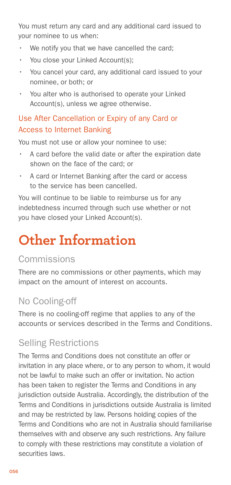<span id="page-55-0"></span>You must return any card and any additional card issued to your nominee to us when:

- We notify you that we have cancelled the card;
- You close your Linked Account(s):
- You cancel your card, any additional card issued to your nominee, or both; or
- You alter who is authorised to operate your Linked Account(s), unless we agree otherwise.

#### Use After Cancellation or Expiry of any Card or Access to Internet Banking

You must not use or allow your nominee to use:

- A card before the valid date or after the expiration date shown on the face of the card; or
- A card or Internet Banking after the card or access to the service has been cancelled.

You will continue to be liable to reimburse us for any indebtedness incurred through such use whether or not you have closed your Linked Account(s).

# **Other Information**

## Commissions

There are no commissions or other payments, which may impact on the amount of interest on accounts.

# No Cooling-off

There is no cooling-off regime that applies to any of the accounts or services described in the Terms and Conditions.

# Selling Restrictions

The Terms and Conditions does not constitute an offer or invitation in any place where, or to any person to whom, it would not be lawful to make such an offer or invitation. No action has been taken to register the Terms and Conditions in any jurisdiction outside Australia. Accordingly, the distribution of the Terms and Conditions in jurisdictions outside Australia is limited and may be restricted by law. Persons holding copies of the Terms and Conditions who are not in Australia should familiarise themselves with and observe any such restrictions. Any failure to comply with these restrictions may constitute a violation of securities laws.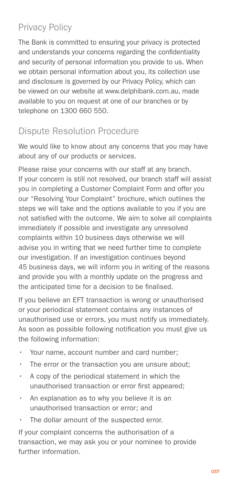# <span id="page-56-0"></span>Privacy Policy

The Bank is committed to ensuring your privacy is protected and understands your concerns regarding the confidentiality and security of personal information you provide to us. When we obtain personal information about you, its collection use and disclosure is governed by our Privacy Policy, which can be viewed on our website at www.delphibank.com.au, made available to you on request at one of our branches or by telephone on 1300 660 550.

# Dispute Resolution Procedure

We would like to know about any concerns that you may have about any of our products or services.

Please raise your concerns with our staff at any branch. If your concern is still not resolved, our branch staff will assist you in completing a Customer Complaint Form and offer you our "Resolving Your Complaint" brochure, which outlines the steps we will take and the options available to you if you are not satisfied with the outcome. We aim to solve all complaints immediately if possible and investigate any unresolved complaints within 10 business days otherwise we will advise you in writing that we need further time to complete our investigation. If an investigation continues beyond 45 business days, we will inform you in writing of the reasons and provide you with a monthly update on the progress and the anticipated time for a decision to be finalised.

If you believe an EFT transaction is wrong or unauthorised or your periodical statement contains any instances of unauthorised use or errors, you must notify us immediately. As soon as possible following notification you must give us the following information:

- Your name, account number and card number;
- The error or the transaction you are unsure about;
- A copy of the periodical statement in which the unauthorised transaction or error first appeared;
- An explanation as to why you believe it is an unauthorised transaction or error; and
- The dollar amount of the suspected error.

If your complaint concerns the authorisation of a transaction, we may ask you or your nominee to provide further information.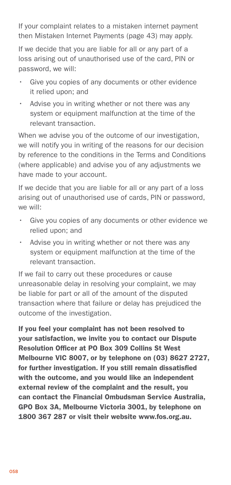If your complaint relates to a mistaken internet payment then Mistaken Internet Payments (page 43) may apply.

If we decide that you are liable for all or any part of a loss arising out of unauthorised use of the card, PIN or password, we will:

- Give you copies of any documents or other evidence it relied upon; and
- Advise you in writing whether or not there was any system or equipment malfunction at the time of the relevant transaction.

When we advise you of the outcome of our investigation, we will notify you in writing of the reasons for our decision by reference to the conditions in the Terms and Conditions (where applicable) and advise you of any adjustments we have made to your account.

If we decide that you are liable for all or any part of a loss arising out of unauthorised use of cards, PIN or password, we will:

- Give you copies of any documents or other evidence we relied upon; and
- Advise you in writing whether or not there was any system or equipment malfunction at the time of the relevant transaction.

If we fail to carry out these procedures or cause unreasonable delay in resolving your complaint, we may be liable for part or all of the amount of the disputed transaction where that failure or delay has prejudiced the outcome of the investigation.

If you feel your complaint has not been resolved to your satisfaction, we invite you to contact our Dispute Resolution Officer at PO Box 309 Collins St West Melbourne VIC 8007, or by telephone on (03) 8627 2727, for further investigation. If you still remain dissatisfied with the outcome, and you would like an independent external review of the complaint and the result, you can contact the Financial Ombudsman Service Australia, GPO Box 3A, Melbourne Victoria 3001, by telephone on 1800 367 287 or visit their website www.fos.org.au.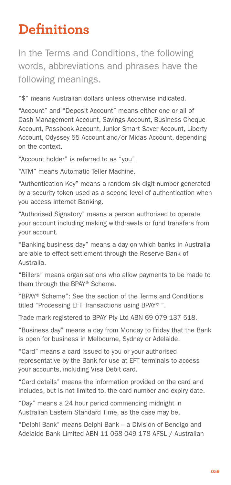# <span id="page-58-0"></span>**Definitions**

In the Terms and Conditions, the following words, abbreviations and phrases have the following meanings.

"\$" means Australian dollars unless otherwise indicated.

"Account" and "Deposit Account" means either one or all of Cash Management Account, Savings Account, Business Cheque Account, Passbook Account, Junior Smart Saver Account, Liberty Account, Odyssey 55 Account and/or Midas Account, depending on the context.

"Account holder" is referred to as "you".

"ATM" means Automatic Teller Machine.

"Authentication Key" means a random six digit number generated by a security token used as a second level of authentication when you access Internet Banking.

"Authorised Signatory" means a person authorised to operate your account including making withdrawals or fund transfers from your account.

"Banking business day" means a day on which banks in Australia are able to effect settlement through the Reserve Bank of Australia.

"Billers" means organisations who allow payments to be made to them through the BPAY® Scheme.

"BPAY® Scheme": See the section of the Terms and Conditions titled "Processing EFT Transactions using BPAY®".

Trade mark registered to BPAY Pty Ltd ABN 69 079 137 518.

"Business day" means a day from Monday to Friday that the Bank is open for business in Melbourne, Sydney or Adelaide.

"Card" means a card issued to you or your authorised representative by the Bank for use at EFT terminals to access your accounts, including Visa Debit card.

"Card details" means the information provided on the card and includes, but is not limited to, the card number and expiry date.

"Day" means a 24 hour period commencing midnight in Australian Eastern Standard Time, as the case may be.

"Delphi Bank" means Delphi Bank – a Division of Bendigo and Adelaide Bank Limited ABN 11 068 049 178 AFSL / Australian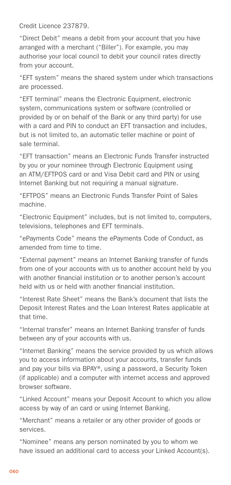Credit Licence 237879.

"Direct Debit" means a debit from your account that you have arranged with a merchant ("Biller"). For example, you may authorise your local council to debit your council rates directly from your account.

"EFT system" means the shared system under which transactions are processed.

"EFT terminal" means the Electronic Equipment, electronic system, communications system or software (controlled or provided by or on behalf of the Bank or any third party) for use with a card and PIN to conduct an EFT transaction and includes, but is not limited to, an automatic teller machine or point of sale terminal.

"EFT transaction" means an Electronic Funds Transfer instructed by you or your nominee through Electronic Equipment using an ATM/EFTPOS card or and Visa Debit card and PIN or using Internet Banking but not requiring a manual signature.

"EFTPOS" means an Electronic Funds Transfer Point of Sales machine.

"Electronic Equipment" includes, but is not limited to, computers, televisions, telephones and EFT terminals.

"ePayments Code" means the ePayments Code of Conduct, as amended from time to time.

"External payment" means an Internet Banking transfer of funds from one of your accounts with us to another account held by you with another financial institution or to another person's account held with us or held with another financial institution.

"Interest Rate Sheet" means the Bank's document that lists the Deposit Interest Rates and the Loan Interest Rates applicable at that time.

"Internal transfer" means an Internet Banking transfer of funds between any of your accounts with us.

"Internet Banking" means the service provided by us which allows you to access information about your accounts, transfer funds and pay your bills via BPAY®, using a password, a Security Token (if applicable) and a computer with internet access and approved browser software.

"Linked Account" means your Deposit Account to which you allow access by way of an card or using Internet Banking.

"Merchant" means a retailer or any other provider of goods or services.

"Nominee" means any person nominated by you to whom we have issued an additional card to access your Linked Account(s).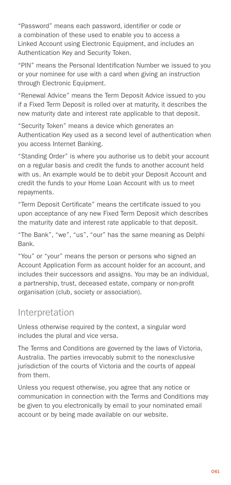<span id="page-60-0"></span>"Password" means each password, identifier or code or a combination of these used to enable you to access a Linked Account using Electronic Equipment, and includes an Authentication Key and Security Token.

"PIN" means the Personal Identification Number we issued to you or your nominee for use with a card when giving an instruction through Electronic Equipment.

"Renewal Advice" means the Term Deposit Advice issued to you if a Fixed Term Deposit is rolled over at maturity, it describes the new maturity date and interest rate applicable to that deposit.

"Security Token" means a device which generates an Authentication Key used as a second level of authentication when you access Internet Banking.

"Standing Order" is where you authorise us to debit your account on a regular basis and credit the funds to another account held with us. An example would be to debit your Deposit Account and credit the funds to your Home Loan Account with us to meet repayments.

"Term Deposit Certificate" means the certificate issued to you upon acceptance of any new Fixed Term Deposit which describes the maturity date and interest rate applicable to that deposit.

"The Bank", "we", "us", "our" has the same meaning as Delphi Bank.

"You" or "your" means the person or persons who signed an Account Application Form as account holder for an account, and includes their successors and assigns. You may be an individual, a partnership, trust, deceased estate, company or non-profit organisation (club, society or association).

#### Interpretation

Unless otherwise required by the context, a singular word includes the plural and vice versa.

The Terms and Conditions are governed by the laws of Victoria, Australia. The parties irrevocably submit to the nonexclusive jurisdiction of the courts of Victoria and the courts of appeal from them.

Unless you request otherwise, you agree that any notice or communication in connection with the Terms and Conditions may be given to you electronically by email to your nominated email account or by being made available on our website.